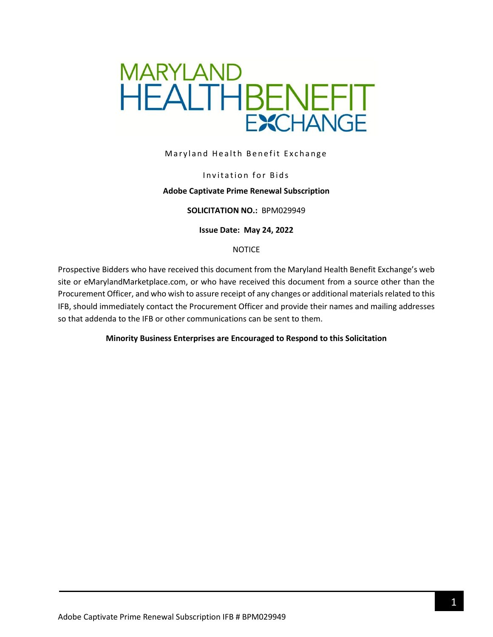

Maryland Health Benefit Exchange

#### Invitation for Bids

#### **Adobe Captivate Prime Renewal Subscription**

#### **SOLICITATION NO.:** BPM029949

**Issue Date: May 24, 2022**

#### NOTICE

Prospective Bidders who have received this document from the Maryland Health Benefit Exchange's web site or eMarylandMarketplace.com, or who have received this document from a source other than the Procurement Officer, and who wish to assure receipt of any changes or additional materials related to this IFB, should immediately contact the Procurement Officer and provide their names and mailing addresses so that addenda to the IFB or other communications can be sent to them.

#### **Minority Business Enterprises are Encouraged to Respond to this Solicitation**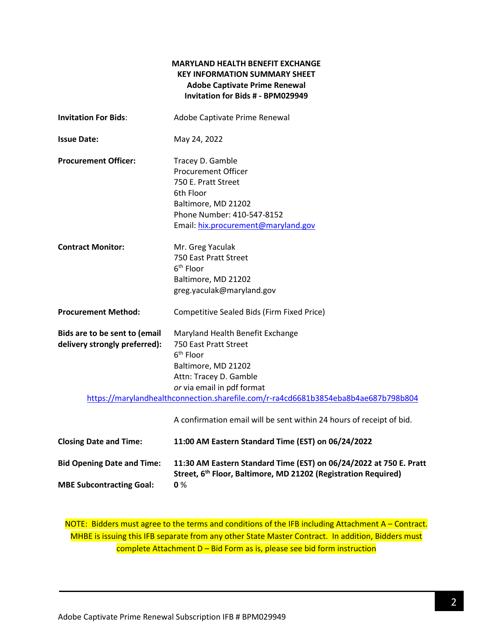### **MARYLAND HEALTH BENEFIT EXCHANGE KEY INFORMATION SUMMARY SHEET Adobe Captivate Prime Renewal Invitation for Bids # - BPM029949**

| <b>Invitation For Bids:</b>       | Adobe Captivate Prime Renewal                                                                                                                    |  |
|-----------------------------------|--------------------------------------------------------------------------------------------------------------------------------------------------|--|
| <b>Issue Date:</b>                | May 24, 2022                                                                                                                                     |  |
| <b>Procurement Officer:</b>       | Tracey D. Gamble<br><b>Procurement Officer</b>                                                                                                   |  |
|                                   | 750 E. Pratt Street                                                                                                                              |  |
|                                   | 6th Floor                                                                                                                                        |  |
|                                   | Baltimore, MD 21202                                                                                                                              |  |
|                                   | Phone Number: 410-547-8152                                                                                                                       |  |
|                                   | Email: hix.procurement@maryland.gov                                                                                                              |  |
| <b>Contract Monitor:</b>          | Mr. Greg Yaculak                                                                                                                                 |  |
|                                   | 750 East Pratt Street                                                                                                                            |  |
|                                   | 6 <sup>th</sup> Floor                                                                                                                            |  |
|                                   | Baltimore, MD 21202                                                                                                                              |  |
|                                   | greg.yaculak@maryland.gov                                                                                                                        |  |
| <b>Procurement Method:</b>        | Competitive Sealed Bids (Firm Fixed Price)                                                                                                       |  |
| Bids are to be sent to (email     | Maryland Health Benefit Exchange                                                                                                                 |  |
| delivery strongly preferred):     | 750 East Pratt Street                                                                                                                            |  |
|                                   | 6 <sup>th</sup> Floor                                                                                                                            |  |
|                                   | Baltimore, MD 21202                                                                                                                              |  |
|                                   | Attn: Tracey D. Gamble                                                                                                                           |  |
|                                   | or via email in pdf format                                                                                                                       |  |
|                                   | https://marylandhealthconnection.sharefile.com/r-ra4cd6681b3854eba8b4ae687b798b804                                                               |  |
|                                   | A confirmation email will be sent within 24 hours of receipt of bid.                                                                             |  |
| <b>Closing Date and Time:</b>     | 11:00 AM Eastern Standard Time (EST) on 06/24/2022                                                                                               |  |
| <b>Bid Opening Date and Time:</b> | 11:30 AM Eastern Standard Time (EST) on 06/24/2022 at 750 E. Pratt<br>Street, 6 <sup>th</sup> Floor, Baltimore, MD 21202 (Registration Required) |  |

**MBE Subcontracting Goal: 0** %

NOTE: Bidders must agree to the terms and conditions of the IFB including Attachment A – Contract. MHBE is issuing this IFB separate from any other State Master Contract. In addition, Bidders must complete Attachment D – Bid Form as is, please see bid form instruction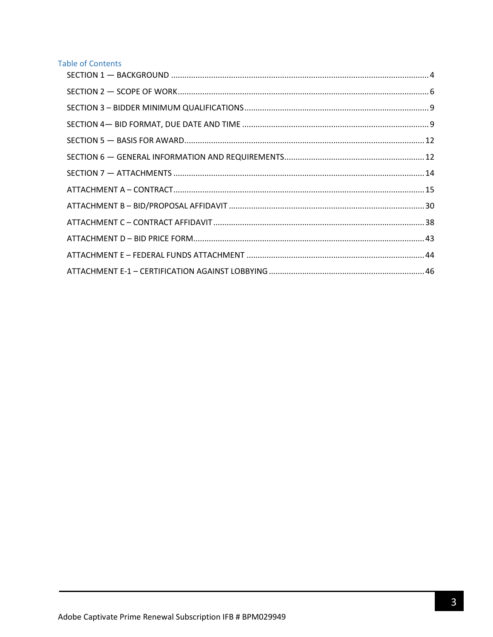## **Table of Contents**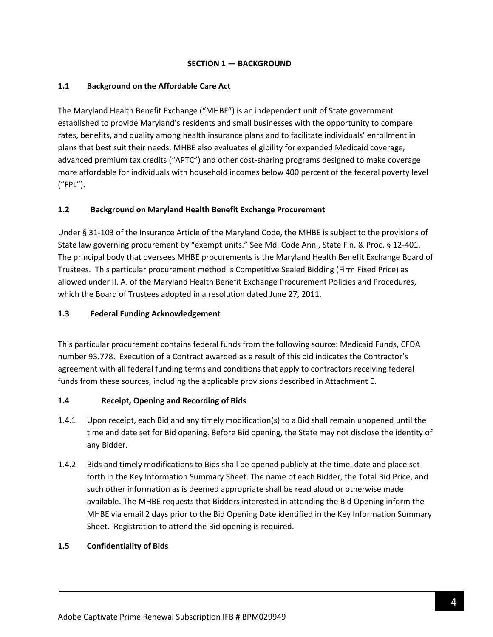### **SECTION 1 — BACKGROUND**

### <span id="page-3-0"></span>**1.1 Background on the Affordable Care Act**

The Maryland Health Benefit Exchange ("MHBE") is an independent unit of State government established to provide Maryland's residents and small businesses with the opportunity to compare rates, benefits, and quality among health insurance plans and to facilitate individuals' enrollment in plans that best suit their needs. MHBE also evaluates eligibility for expanded Medicaid coverage, advanced premium tax credits ("APTC") and other cost-sharing programs designed to make coverage more affordable for individuals with household incomes below 400 percent of the federal poverty level ("FPL").

## **1.2 Background on Maryland Health Benefit Exchange Procurement**

Under § 31-103 of the Insurance Article of the Maryland Code, the MHBE is subject to the provisions of State law governing procurement by "exempt units." See Md. Code Ann., State Fin. & Proc. § 12-401. The principal body that oversees MHBE procurements is the Maryland Health Benefit Exchange Board of Trustees. This particular procurement method is Competitive Sealed Bidding (Firm Fixed Price) as allowed under II. A. of the Maryland Health Benefit Exchange Procurement Policies and Procedures, which the Board of Trustees adopted in a resolution dated June 27, 2011.

#### **1.3 Federal Funding Acknowledgement**

This particular procurement contains federal funds from the following source: Medicaid Funds, CFDA number 93.778. Execution of a Contract awarded as a result of this bid indicates the Contractor's agreement with all federal funding terms and conditions that apply to contractors receiving federal funds from these sources, including the applicable provisions described in Attachment E.

#### **1.4 Receipt, Opening and Recording of Bids**

- 1.4.1 Upon receipt, each Bid and any timely modification(s) to a Bid shall remain unopened until the time and date set for Bid opening. Before Bid opening, the State may not disclose the identity of any Bidder.
- 1.4.2 Bids and timely modifications to Bids shall be opened publicly at the time, date and place set forth in the Key Information Summary Sheet. The name of each Bidder, the Total Bid Price, and such other information as is deemed appropriate shall be read aloud or otherwise made available. The MHBE requests that Bidders interested in attending the Bid Opening inform the MHBE via email 2 days prior to the Bid Opening Date identified in the Key Information Summary Sheet. Registration to attend the Bid opening is required.

#### **1.5 Confidentiality of Bids**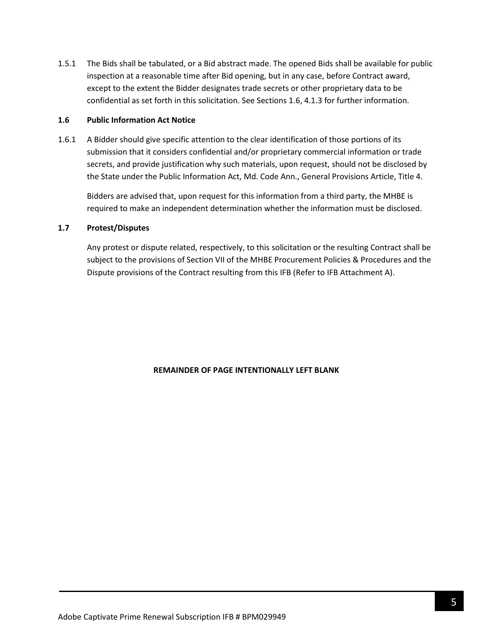1.5.1 The Bids shall be tabulated, or a Bid abstract made. The opened Bids shall be available for public inspection at a reasonable time after Bid opening, but in any case, before Contract award, except to the extent the Bidder designates trade secrets or other proprietary data to be confidential as set forth in this solicitation. See Sections 1.6, 4.1.3 for further information.

#### **1.6 Public Information Act Notice**

1.6.1 A Bidder should give specific attention to the clear identification of those portions of its submission that it considers confidential and/or proprietary commercial information or trade secrets, and provide justification why such materials, upon request, should not be disclosed by the State under the Public Information Act, Md. Code Ann., General Provisions Article, Title 4.

Bidders are advised that, upon request for this information from a third party, the MHBE is required to make an independent determination whether the information must be disclosed.

#### **1.7 Protest/Disputes**

Any protest or dispute related, respectively, to this solicitation or the resulting Contract shall be subject to the provisions of Section VII of the MHBE Procurement Policies & Procedures and the Dispute provisions of the Contract resulting from this IFB (Refer to IFB Attachment A).

#### **REMAINDER OF PAGE INTENTIONALLY LEFT BLANK**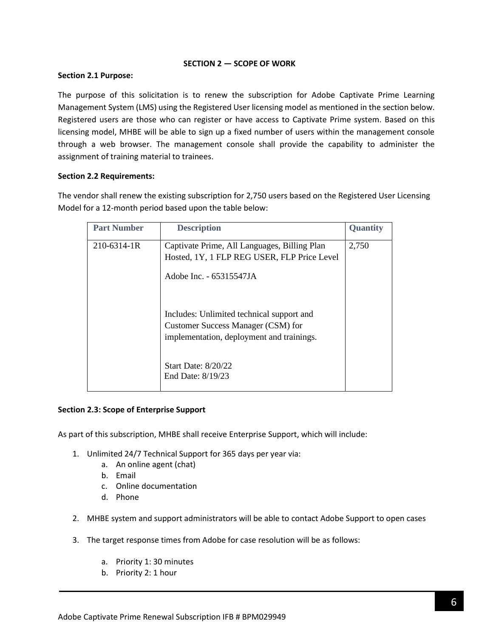#### **SECTION 2 — SCOPE OF WORK**

#### <span id="page-5-0"></span>**Section 2.1 Purpose:**

The purpose of this solicitation is to renew the subscription for Adobe Captivate Prime Learning Management System (LMS) using the Registered User licensing model as mentioned in the section below. Registered users are those who can register or have access to Captivate Prime system. Based on this licensing model, MHBE will be able to sign up a fixed number of users within the management console through a web browser. The management console shall provide the capability to administer the assignment of training material to trainees.

#### **Section 2.2 Requirements:**

The vendor shall renew the existing subscription for 2,750 users based on the Registered User Licensing Model for a 12-month period based upon the table below:

| <b>Part Number</b> | <b>Description</b>                                                                                                           | <b>Quantity</b> |
|--------------------|------------------------------------------------------------------------------------------------------------------------------|-----------------|
| $210-6314-1R$      | Captivate Prime, All Languages, Billing Plan<br>Hosted, 1Y, 1 FLP REG USER, FLP Price Level<br>Adobe Inc. - 65315547JA       | 2,750           |
|                    | Includes: Unlimited technical support and<br>Customer Success Manager (CSM) for<br>implementation, deployment and trainings. |                 |
|                    | <b>Start Date: 8/20/22</b><br>End Date: 8/19/23                                                                              |                 |

#### **Section 2.3: Scope of Enterprise Support**

As part of this subscription, MHBE shall receive Enterprise Support, which will include:

- 1. Unlimited 24/7 Technical Support for 365 days per year via:
	- a. An online agent (chat)
	- b. Email
	- c. Online documentation
	- d. Phone
- 2. MHBE system and support administrators will be able to contact Adobe Support to open cases
- 3. The target response times from Adobe for case resolution will be as follows:
	- a. Priority 1: 30 minutes
	- b. Priority 2: 1 hour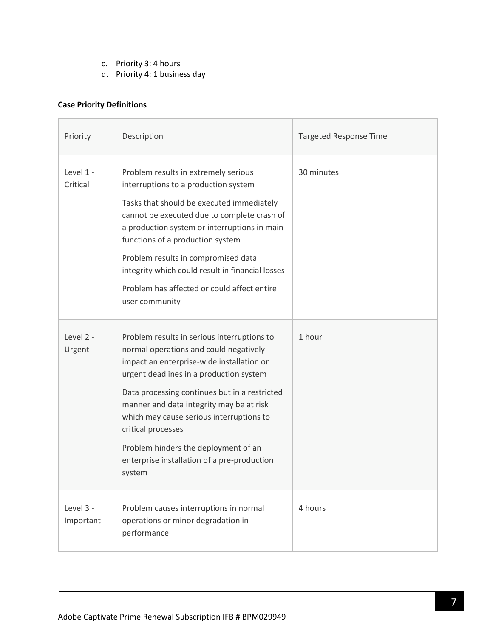- c. Priority 3: 4 hours
- d. Priority 4: 1 business day

## **Case Priority Definitions**

| Priority               | Description                                                                                                                                                                                                                                                                                                                                                                                                                                   | <b>Targeted Response Time</b> |
|------------------------|-----------------------------------------------------------------------------------------------------------------------------------------------------------------------------------------------------------------------------------------------------------------------------------------------------------------------------------------------------------------------------------------------------------------------------------------------|-------------------------------|
| Level 1 -<br>Critical  | Problem results in extremely serious<br>interruptions to a production system<br>Tasks that should be executed immediately<br>cannot be executed due to complete crash of<br>a production system or interruptions in main<br>functions of a production system<br>Problem results in compromised data<br>integrity which could result in financial losses<br>Problem has affected or could affect entire<br>user community                      | 30 minutes                    |
| Level 2 -<br>Urgent    | Problem results in serious interruptions to<br>normal operations and could negatively<br>impact an enterprise-wide installation or<br>urgent deadlines in a production system<br>Data processing continues but in a restricted<br>manner and data integrity may be at risk<br>which may cause serious interruptions to<br>critical processes<br>Problem hinders the deployment of an<br>enterprise installation of a pre-production<br>system | 1 hour                        |
| Level 3 -<br>Important | Problem causes interruptions in normal<br>operations or minor degradation in<br>performance                                                                                                                                                                                                                                                                                                                                                   | 4 hours                       |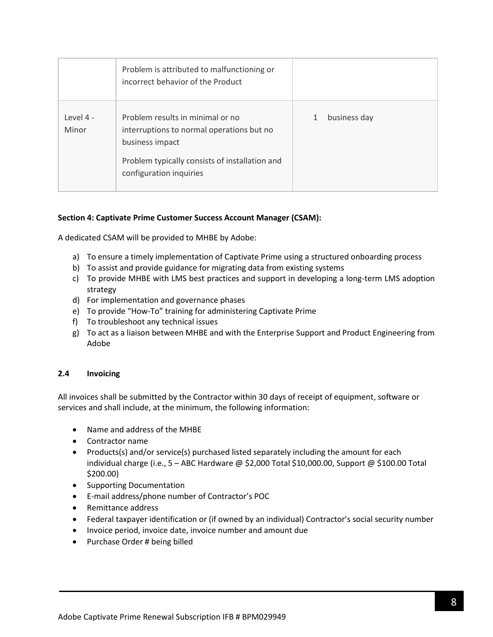|                    | Problem is attributed to malfunctioning or<br>incorrect behavior of the Product                                                                                               |                   |
|--------------------|-------------------------------------------------------------------------------------------------------------------------------------------------------------------------------|-------------------|
| Level 4 -<br>Minor | Problem results in minimal or no<br>interruptions to normal operations but no<br>business impact<br>Problem typically consists of installation and<br>configuration inquiries | business day<br>1 |

## **Section 4: Captivate Prime Customer Success Account Manager (CSAM):**

A dedicated CSAM will be provided to MHBE by Adobe:

- a) To ensure a timely implementation of Captivate Prime using a structured onboarding process
- b) To assist and provide guidance for migrating data from existing systems
- c) To provide MHBE with LMS best practices and support in developing a long-term LMS adoption strategy
- d) For implementation and governance phases
- e) To provide "How-To" training for administering Captivate Prime
- f) To troubleshoot any technical issues
- g) To act as a liaison between MHBE and with the Enterprise Support and Product Engineering from Adobe

#### **2.4 Invoicing**

All invoices shall be submitted by the Contractor within 30 days of receipt of equipment, software or services and shall include, at the minimum, the following information:

- Name and address of the MHBE
- Contractor name
- Products(s) and/or service(s) purchased listed separately including the amount for each individual charge (i.e., 5 – ABC Hardware @ \$2,000 Total \$10,000.00, Support @ \$100.00 Total \$200.00)
- Supporting Documentation
- E-mail address/phone number of Contractor's POC
- Remittance address
- Federal taxpayer identification or (if owned by an individual) Contractor's social security number
- Invoice period, invoice date, invoice number and amount due
- Purchase Order # being billed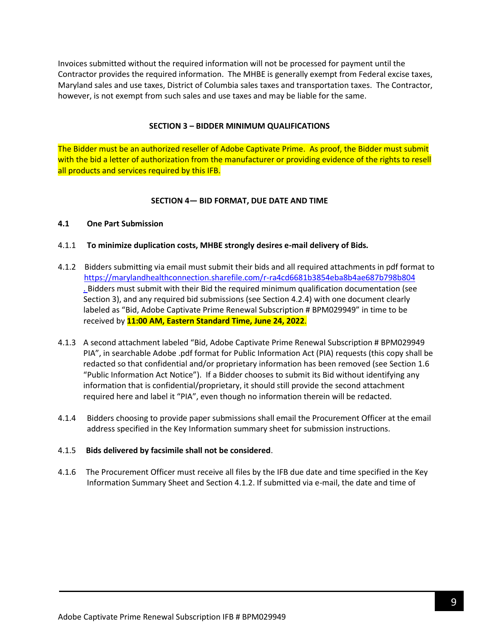Invoices submitted without the required information will not be processed for payment until the Contractor provides the required information. The MHBE is generally exempt from Federal excise taxes, Maryland sales and use taxes, District of Columbia sales taxes and transportation taxes. The Contractor, however, is not exempt from such sales and use taxes and may be liable for the same.

#### **SECTION 3 – BIDDER MINIMUM QUALIFICATIONS**

<span id="page-8-0"></span>The Bidder must be an authorized reseller of Adobe Captivate Prime. As proof, the Bidder must submit with the bid a letter of authorization from the manufacturer or providing evidence of the rights to resell all products and services required by this IFB.

#### **SECTION 4— BID FORMAT, DUE DATE AND TIME**

#### <span id="page-8-1"></span>**4.1 One Part Submission**

- 4.1.1 **To minimize duplication costs, MHBE strongly desires e-mail delivery of Bids***.*
- 4.1.2 Bidders submitting via email must submit their bids and all required attachments in pdf format to <https://marylandhealthconnection.sharefile.com/r-ra4cd6681b3854eba8b4ae687b798b804> . Bidders must submit with their Bid the required minimum qualification documentation (see Section 3), and any required bid submissions (see Section 4.2.4) with one document clearly labeled as "Bid, Adobe Captivate Prime Renewal Subscription # BPM029949" in time to be received by **11:00 AM, Eastern Standard Time, June 24, 2022**.
- 4.1.3 A second attachment labeled "Bid, Adobe Captivate Prime Renewal Subscription # BPM029949 PIA", in searchable Adobe .pdf format for Public Information Act (PIA) requests (this copy shall be redacted so that confidential and/or proprietary information has been removed (see Section 1.6 "Public Information Act Notice"). If a Bidder chooses to submit its Bid without identifying any information that is confidential/proprietary, it should still provide the second attachment required here and label it "PIA", even though no information therein will be redacted.
- 4.1.4 Bidders choosing to provide paper submissions shall email the Procurement Officer at the email address specified in the Key Information summary sheet for submission instructions.

#### 4.1.5 **Bids delivered by facsimile shall not be considered**.

4.1.6 The Procurement Officer must receive all files by the IFB due date and time specified in the Key Information Summary Sheet and Section 4.1.2. If submitted via e-mail, the date and time of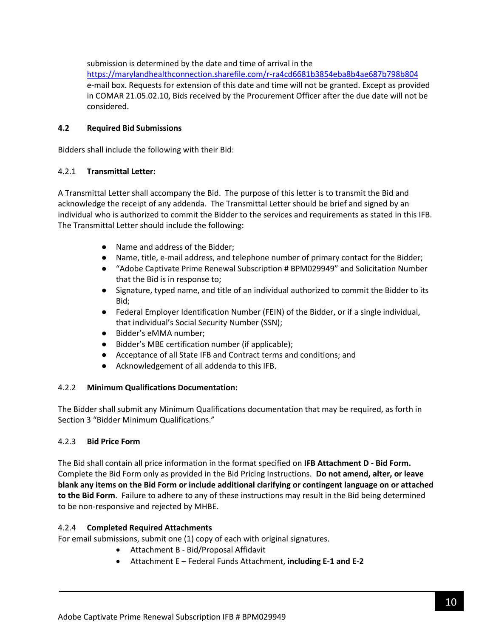submission is determined by the date and time of arrival in the <https://marylandhealthconnection.sharefile.com/r-ra4cd6681b3854eba8b4ae687b798b804> e-mail box. Requests for extension of this date and time will not be granted. Except as provided in COMAR 21.05.02.10, Bids received by the Procurement Officer after the due date will not be considered.

### **4.2 Required Bid Submissions**

Bidders shall include the following with their Bid:

### 4.2.1 **Transmittal Letter:**

A Transmittal Letter shall accompany the Bid. The purpose of this letter is to transmit the Bid and acknowledge the receipt of any addenda. The Transmittal Letter should be brief and signed by an individual who is authorized to commit the Bidder to the services and requirements as stated in this IFB. The Transmittal Letter should include the following:

- Name and address of the Bidder;
- Name, title, e-mail address, and telephone number of primary contact for the Bidder;
- "Adobe Captivate Prime Renewal Subscription # BPM029949" and Solicitation Number that the Bid is in response to;
- Signature, typed name, and title of an individual authorized to commit the Bidder to its Bid;
- Federal Employer Identification Number (FEIN) of the Bidder, or if a single individual, that individual's Social Security Number (SSN);
- Bidder's eMMA number;
- Bidder's MBE certification number (if applicable);
- Acceptance of all State IFB and Contract terms and conditions; and
- Acknowledgement of all addenda to this IFB.

## 4.2.2 **Minimum Qualifications Documentation:**

The Bidder shall submit any Minimum Qualifications documentation that may be required, as forth in Section 3 "Bidder Minimum Qualifications."

#### 4.2.3 **Bid Price Form**

The Bid shall contain all price information in the format specified on **IFB Attachment D - Bid Form.** Complete the Bid Form only as provided in the Bid Pricing Instructions. **Do not amend, alter, or leave blank any items on the Bid Form or include additional clarifying or contingent language on or attached to the Bid Form**. Failure to adhere to any of these instructions may result in the Bid being determined to be non-responsive and rejected by MHBE.

## 4.2.4 **Completed Required Attachments**

For email submissions, submit one (1) copy of each with original signatures.

- Attachment B Bid/Proposal Affidavit
- Attachment E Federal Funds Attachment, **including E-1 and E-2**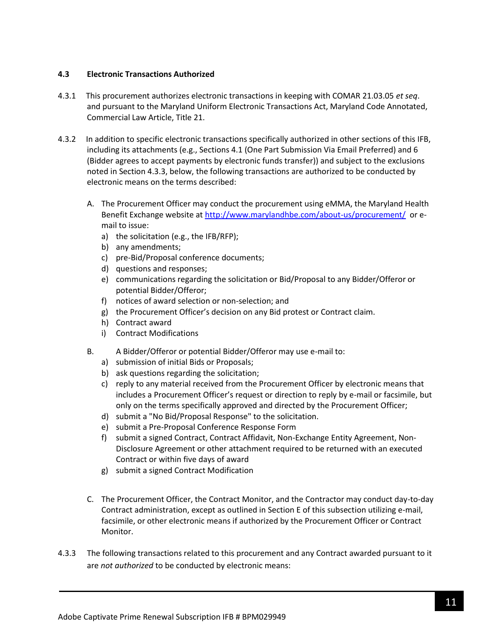#### **4.3 Electronic Transactions Authorized**

- 4.3.1 This procurement authorizes electronic transactions in keeping with COMAR 21.03.05 *et seq*. and pursuant to the Maryland Uniform Electronic Transactions Act, Maryland Code Annotated, Commercial Law Article, Title 21.
- 4.3.2 In addition to specific electronic transactions specifically authorized in other sections of this IFB, including its attachments (e.g., Sections 4.1 (One Part Submission Via Email Preferred) and 6 (Bidder agrees to accept payments by electronic funds transfer)) and subject to the exclusions noted in Section 4.3.3, below, the following transactions are authorized to be conducted by electronic means on the terms described:
	- A. The Procurement Officer may conduct the procurement using eMMA, the Maryland Health Benefit Exchange website a[t http://www.marylandhbe.com/about-us/procurement/](http://www.marylandhbe.com/about-us/procurement/) or email to issue:
		- a) the solicitation (e.g., the IFB/RFP);
		- b) any amendments;
		- c) pre-Bid/Proposal conference documents;
		- d) questions and responses;
		- e) communications regarding the solicitation or Bid/Proposal to any Bidder/Offeror or potential Bidder/Offeror;
		- f) notices of award selection or non-selection; and
		- g) the Procurement Officer's decision on any Bid protest or Contract claim.
		- h) Contract award
		- i) Contract Modifications
	- B. A Bidder/Offeror or potential Bidder/Offeror may use e-mail to:
		- a) submission of initial Bids or Proposals;
		- b) ask questions regarding the solicitation;
		- c) reply to any material received from the Procurement Officer by electronic means that includes a Procurement Officer's request or direction to reply by e-mail or facsimile, but only on the terms specifically approved and directed by the Procurement Officer;
		- d) submit a "No Bid/Proposal Response" to the solicitation.
		- e) submit a Pre-Proposal Conference Response Form
		- f) submit a signed Contract, Contract Affidavit, Non-Exchange Entity Agreement, Non-Disclosure Agreement or other attachment required to be returned with an executed Contract or within five days of award
		- g) submit a signed Contract Modification
	- C. The Procurement Officer, the Contract Monitor, and the Contractor may conduct day-to-day Contract administration, except as outlined in Section E of this subsection utilizing e-mail, facsimile, or other electronic means if authorized by the Procurement Officer or Contract Monitor.
- 4.3.3 The following transactions related to this procurement and any Contract awarded pursuant to it are *not authorized* to be conducted by electronic means: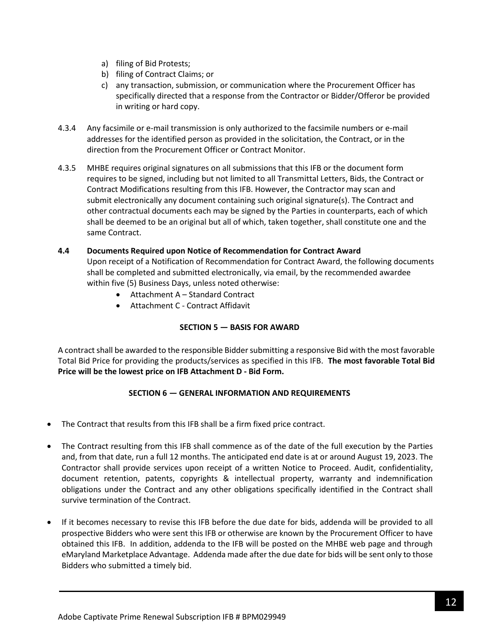- a) filing of Bid Protests;
- b) filing of Contract Claims; or
- c) any transaction, submission, or communication where the Procurement Officer has specifically directed that a response from the Contractor or Bidder/Offeror be provided in writing or hard copy.
- 4.3.4 Any facsimile or e-mail transmission is only authorized to the facsimile numbers or e-mail addresses for the identified person as provided in the solicitation, the Contract, or in the direction from the Procurement Officer or Contract Monitor.
- 4.3.5 MHBE requires original signatures on all submissions that this IFB or the document form requires to be signed, including but not limited to all Transmittal Letters, Bids, the Contract or Contract Modifications resulting from this IFB. However, the Contractor may scan and submit electronically any document containing such original signature(s). The Contract and other contractual documents each may be signed by the Parties in counterparts, each of which shall be deemed to be an original but all of which, taken together, shall constitute one and the same Contract.
- **4.4 Documents Required upon Notice of Recommendation for Contract Award** Upon receipt of a Notification of Recommendation for Contract Award, the following documents shall be completed and submitted electronically, via email, by the recommended awardee within five (5) Business Days, unless noted otherwise:
	- Attachment A Standard Contract
	- Attachment C Contract Affidavit

## **SECTION 5 — BASIS FOR AWARD**

<span id="page-11-0"></span>A contract shall be awarded to the responsible Bidder submitting a responsive Bid with the most favorable Total Bid Price for providing the products/services as specified in this IFB. **The most favorable Total Bid Price will be the lowest price on IFB Attachment D - Bid Form.**

## **SECTION 6 — GENERAL INFORMATION AND REQUIREMENTS**

- <span id="page-11-1"></span>• The Contract that results from this IFB shall be a firm fixed price contract.
- The Contract resulting from this IFB shall commence as of the date of the full execution by the Parties and, from that date, run a full 12 months. The anticipated end date is at or around August 19, 2023. The Contractor shall provide services upon receipt of a written Notice to Proceed. Audit, confidentiality, document retention, patents, copyrights & intellectual property, warranty and indemnification obligations under the Contract and any other obligations specifically identified in the Contract shall survive termination of the Contract.
- If it becomes necessary to revise this IFB before the due date for bids, addenda will be provided to all prospective Bidders who were sent this IFB or otherwise are known by the Procurement Officer to have obtained this IFB. In addition, addenda to the IFB will be posted on the MHBE web page and through eMaryland Marketplace Advantage. Addenda made after the due date for bids will be sent only to those Bidders who submitted a timely bid.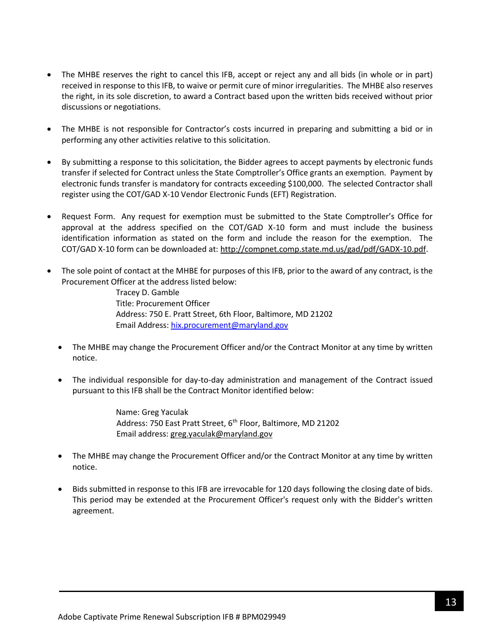- The MHBE reserves the right to cancel this IFB, accept or reject any and all bids (in whole or in part) received in response to this IFB, to waive or permit cure of minor irregularities. The MHBE also reserves the right, in its sole discretion, to award a Contract based upon the written bids received without prior discussions or negotiations.
- The MHBE is not responsible for Contractor's costs incurred in preparing and submitting a bid or in performing any other activities relative to this solicitation.
- By submitting a response to this solicitation, the Bidder agrees to accept payments by electronic funds transfer if selected for Contract unless the State Comptroller's Office grants an exemption. Payment by electronic funds transfer is mandatory for contracts exceeding \$100,000. The selected Contractor shall register using the COT/GAD X-10 Vendor Electronic Funds (EFT) Registration.
- Request Form. Any request for exemption must be submitted to the State Comptroller's Office for approval at the address specified on the COT/GAD X-10 form and must include the business identification information as stated on the form and include the reason for the exemption. The COT/GAD X-10 form can be downloaded at[: http://compnet.comp.state.md.us/gad/pdf/GADX-10.pdf.](http://compnet.comp.state.md.us/gad/pdf/GADX-10.pdf)
- The sole point of contact at the MHBE for purposes of this IFB, prior to the award of any contract, is the Procurement Officer at the address listed below:

Tracey D. Gamble Title: Procurement Officer Address: 750 E. Pratt Street, 6th Floor, Baltimore, MD 21202 Email Address: [hix.procurement@maryland.gov](mailto:hix.procurement@maryland.gov)

- The MHBE may change the Procurement Officer and/or the Contract Monitor at any time by written notice.
- The individual responsible for day-to-day administration and management of the Contract issued pursuant to this IFB shall be the Contract Monitor identified below:

Name: Greg Yaculak Address: 750 East Pratt Street, 6<sup>th</sup> Floor, Baltimore, MD 21202 Email address: [greg.yaculak@maryland.gov](mailto:greg.yaculak@maryland.gov) 

- The MHBE may change the Procurement Officer and/or the Contract Monitor at any time by written notice.
- Bids submitted in response to this IFB are irrevocable for 120 days following the closing date of bids. This period may be extended at the Procurement Officer's request only with the Bidder's written agreement.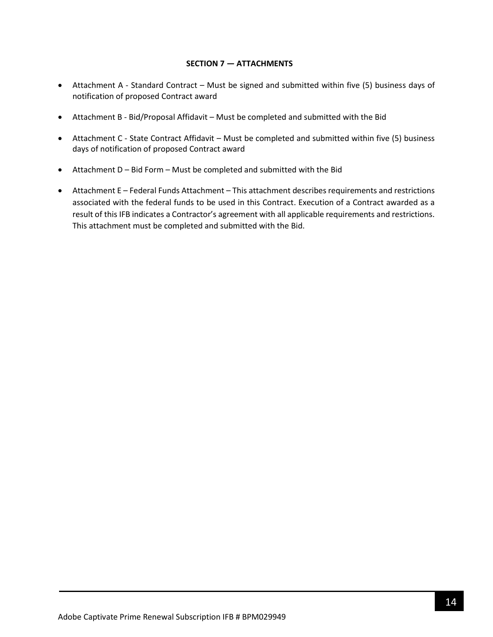#### **SECTION 7 — ATTACHMENTS**

- <span id="page-13-0"></span>• Attachment A - Standard Contract – Must be signed and submitted within five (5) business days of notification of proposed Contract award
- Attachment B Bid/Proposal Affidavit Must be completed and submitted with the Bid
- Attachment C State Contract Affidavit Must be completed and submitted within five (5) business days of notification of proposed Contract award
- Attachment D Bid Form Must be completed and submitted with the Bid
- Attachment E Federal Funds Attachment This attachment describes requirements and restrictions associated with the federal funds to be used in this Contract. Execution of a Contract awarded as a result of this IFB indicates a Contractor's agreement with all applicable requirements and restrictions. This attachment must be completed and submitted with the Bid.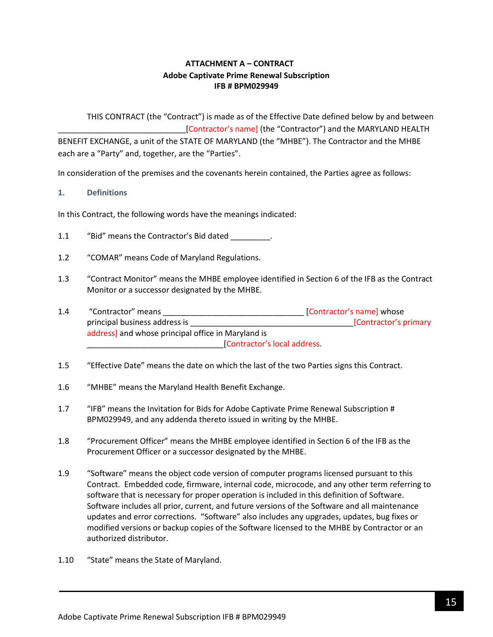## **ATTACHMENT A – CONTRACT Adobe Captivate Prime Renewal Subscription IFB # BPM029949**

<span id="page-14-0"></span>THIS CONTRACT (the "Contract") is made as of the Effective Date defined below by and between [Contractor's name] (the "Contractor") and the MARYLAND HEALTH BENEFIT EXCHANGE, a unit of the STATE OF MARYLAND (the "MHBE"). The Contractor and the MHBE each are a "Party" and, together, are the "Parties".

In consideration of the premises and the covenants herein contained, the Parties agree as follows:

#### **1. Definitions**

In this Contract, the following words have the meanings indicated:

- 1.1 "Bid" means the Contractor's Bid dated .
- 1.2 "COMAR" means Code of Maryland Regulations.
- 1.3 "Contract Monitor" means the MHBE employee identified in Section 6 of the IFB as the Contract Monitor or a successor designated by the MHBE.
- 1.4 "Contractor" means \_\_\_\_\_\_\_\_\_\_\_\_\_\_\_\_\_\_\_\_\_\_\_\_\_\_\_\_\_\_\_\_ [Contractor's name] whose principal business address is \_\_\_\_\_\_\_\_\_\_\_\_\_\_\_\_\_\_\_\_\_\_\_\_\_\_\_\_\_\_\_\_\_\_\_\_\_[Contractor's primary address] and whose principal office in Maryland is \_\_\_\_\_\_\_\_\_\_\_\_\_\_\_\_\_\_\_\_\_\_\_\_\_\_\_\_\_\_\_[Contractor's local address.
- 1.5 "Effective Date" means the date on which the last of the two Parties signs this Contract.
- 1.6 "MHBE" means the Maryland Health Benefit Exchange.
- 1.7 "IFB" means the Invitation for Bids for Adobe Captivate Prime Renewal Subscription # BPM029949, and any addenda thereto issued in writing by the MHBE.
- 1.8 "Procurement Officer" means the MHBE employee identified in Section 6 of the IFB as the Procurement Officer or a successor designated by the MHBE.
- 1.9 "Software" means the object code version of computer programs licensed pursuant to this Contract. Embedded code, firmware, internal code, microcode, and any other term referring to software that is necessary for proper operation is included in this definition of Software. Software includes all prior, current, and future versions of the Software and all maintenance updates and error corrections. "Software" also includes any upgrades, updates, bug fixes or modified versions or backup copies of the Software licensed to the MHBE by Contractor or an authorized distributor.
- 1.10 "State" means the State of Maryland.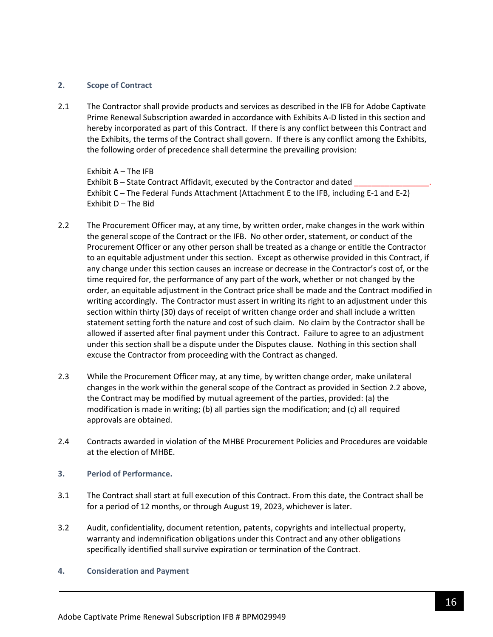#### **2. Scope of Contract**

2.1 The Contractor shall provide products and services as described in the IFB for Adobe Captivate Prime Renewal Subscription awarded in accordance with Exhibits A-D listed in this section and hereby incorporated as part of this Contract. If there is any conflict between this Contract and the Exhibits, the terms of the Contract shall govern. If there is any conflict among the Exhibits, the following order of precedence shall determine the prevailing provision:

Exhibit A – The IFB Exhibit B – State Contract Affidavit, executed by the Contractor and dated Exhibit C – The Federal Funds Attachment (Attachment E to the IFB, including E-1 and E-2) Exhibit D – The Bid

- 2.2 The Procurement Officer may, at any time, by written order, make changes in the work within the general scope of the Contract or the IFB. No other order, statement, or conduct of the Procurement Officer or any other person shall be treated as a change or entitle the Contractor to an equitable adjustment under this section. Except as otherwise provided in this Contract, if any change under this section causes an increase or decrease in the Contractor's cost of, or the time required for, the performance of any part of the work, whether or not changed by the order, an equitable adjustment in the Contract price shall be made and the Contract modified in writing accordingly. The Contractor must assert in writing its right to an adjustment under this section within thirty (30) days of receipt of written change order and shall include a written statement setting forth the nature and cost of such claim. No claim by the Contractor shall be allowed if asserted after final payment under this Contract. Failure to agree to an adjustment under this section shall be a dispute under the Disputes clause. Nothing in this section shall excuse the Contractor from proceeding with the Contract as changed.
- 2.3 While the Procurement Officer may, at any time, by written change order, make unilateral changes in the work within the general scope of the Contract as provided in Section 2.2 above, the Contract may be modified by mutual agreement of the parties, provided: (a) the modification is made in writing; (b) all parties sign the modification; and (c) all required approvals are obtained.
- 2.4 Contracts awarded in violation of the MHBE Procurement Policies and Procedures are voidable at the election of MHBE.
- **3. Period of Performance.**
- 3.1 The Contract shall start at full execution of this Contract. From this date, the Contract shall be for a period of 12 months, or through August 19, 2023, whichever is later.
- 3.2 Audit, confidentiality, document retention, patents, copyrights and intellectual property, warranty and indemnification obligations under this Contract and any other obligations specifically identified shall survive expiration or termination of the Contract.
- **4. Consideration and Payment**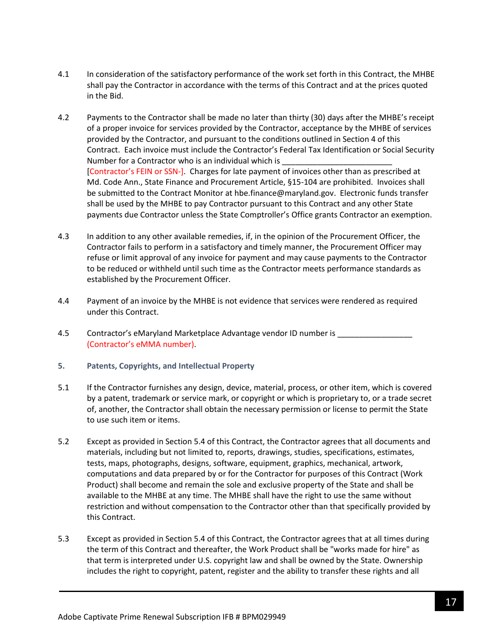- 4.1 In consideration of the satisfactory performance of the work set forth in this Contract, the MHBE shall pay the Contractor in accordance with the terms of this Contract and at the prices quoted in the Bid.
- 4.2 Payments to the Contractor shall be made no later than thirty (30) days after the MHBE's receipt of a proper invoice for services provided by the Contractor, acceptance by the MHBE of services provided by the Contractor, and pursuant to the conditions outlined in Section 4 of this Contract. Each invoice must include the Contractor's Federal Tax Identification or Social Security Number for a Contractor who is an individual which is [Contractor's FEIN or SSN-]. Charges for late payment of invoices other than as prescribed at Md. Code Ann., State Finance and Procurement Article, §15-104 are prohibited. Invoices shall be submitted to the Contract Monitor at hbe.finance@maryland.gov. Electronic funds transfer shall be used by the MHBE to pay Contractor pursuant to this Contract and any other State payments due Contractor unless the State Comptroller's Office grants Contractor an exemption.
- 4.3 In addition to any other available remedies, if, in the opinion of the Procurement Officer, the Contractor fails to perform in a satisfactory and timely manner, the Procurement Officer may refuse or limit approval of any invoice for payment and may cause payments to the Contractor to be reduced or withheld until such time as the Contractor meets performance standards as established by the Procurement Officer.
- 4.4 Payment of an invoice by the MHBE is not evidence that services were rendered as required under this Contract.
- 4.5 Contractor's eMaryland Marketplace Advantage vendor ID number is \_\_\_\_\_\_\_\_\_\_\_ (Contractor's eMMA number).
- **5. Patents, Copyrights, and Intellectual Property**
- 5.1 If the Contractor furnishes any design, device, material, process, or other item, which is covered by a patent, trademark or service mark, or copyright or which is proprietary to, or a trade secret of, another, the Contractor shall obtain the necessary permission or license to permit the State to use such item or items.
- 5.2 Except as provided in Section 5.4 of this Contract, the Contractor agrees that all documents and materials, including but not limited to, reports, drawings, studies, specifications, estimates, tests, maps, photographs, designs, software, equipment, graphics, mechanical, artwork, computations and data prepared by or for the Contractor for purposes of this Contract (Work Product) shall become and remain the sole and exclusive property of the State and shall be available to the MHBE at any time. The MHBE shall have the right to use the same without restriction and without compensation to the Contractor other than that specifically provided by this Contract.
- 5.3 Except as provided in Section 5.4 of this Contract, the Contractor agrees that at all times during the term of this Contract and thereafter, the Work Product shall be "works made for hire" as that term is interpreted under U.S. copyright law and shall be owned by the State. Ownership includes the right to copyright, patent, register and the ability to transfer these rights and all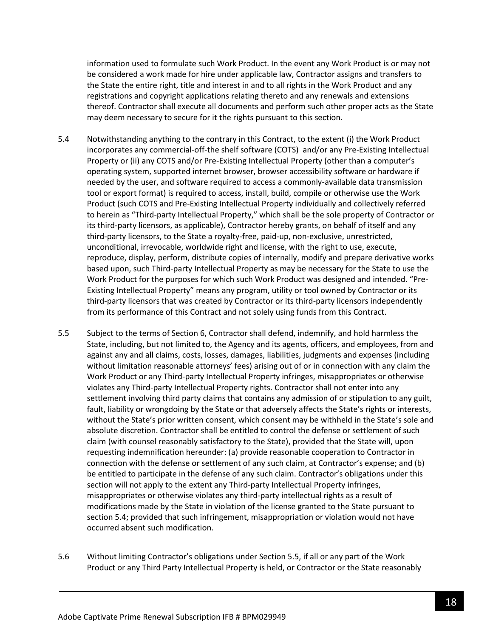information used to formulate such Work Product. In the event any Work Product is or may not be considered a work made for hire under applicable law, Contractor assigns and transfers to the State the entire right, title and interest in and to all rights in the Work Product and any registrations and copyright applications relating thereto and any renewals and extensions thereof. Contractor shall execute all documents and perform such other proper acts as the State may deem necessary to secure for it the rights pursuant to this section.

- 5.4 Notwithstanding anything to the contrary in this Contract, to the extent (i) the Work Product incorporates any commercial-off-the shelf software (COTS) and/or any Pre-Existing Intellectual Property or (ii) any COTS and/or Pre-Existing Intellectual Property (other than a computer's operating system, supported internet browser, browser accessibility software or hardware if needed by the user, and software required to access a commonly-available data transmission tool or export format) is required to access, install, build, compile or otherwise use the Work Product (such COTS and Pre-Existing Intellectual Property individually and collectively referred to herein as "Third-party Intellectual Property," which shall be the sole property of Contractor or its third-party licensors, as applicable), Contractor hereby grants, on behalf of itself and any third-party licensors, to the State a royalty-free, paid-up, non-exclusive, unrestricted, unconditional, irrevocable, worldwide right and license, with the right to use, execute, reproduce, display, perform, distribute copies of internally, modify and prepare derivative works based upon, such Third-party Intellectual Property as may be necessary for the State to use the Work Product for the purposes for which such Work Product was designed and intended. "Pre-Existing Intellectual Property" means any program, utility or tool owned by Contractor or its third-party licensors that was created by Contractor or its third-party licensors independently from its performance of this Contract and not solely using funds from this Contract.
- 5.5 Subject to the terms of Section 6, Contractor shall defend, indemnify, and hold harmless the State, including, but not limited to, the Agency and its agents, officers, and employees, from and against any and all claims, costs, losses, damages, liabilities, judgments and expenses (including without limitation reasonable attorneys' fees) arising out of or in connection with any claim the Work Product or any Third-party Intellectual Property infringes, misappropriates or otherwise violates any Third-party Intellectual Property rights. Contractor shall not enter into any settlement involving third party claims that contains any admission of or stipulation to any guilt, fault, liability or wrongdoing by the State or that adversely affects the State's rights or interests, without the State's prior written consent, which consent may be withheld in the State's sole and absolute discretion. Contractor shall be entitled to control the defense or settlement of such claim (with counsel reasonably satisfactory to the State), provided that the State will, upon requesting indemnification hereunder: (a) provide reasonable cooperation to Contractor in connection with the defense or settlement of any such claim, at Contractor's expense; and (b) be entitled to participate in the defense of any such claim. Contractor's obligations under this section will not apply to the extent any Third-party Intellectual Property infringes, misappropriates or otherwise violates any third-party intellectual rights as a result of modifications made by the State in violation of the license granted to the State pursuant to section 5.4; provided that such infringement, misappropriation or violation would not have occurred absent such modification.
- 5.6 Without limiting Contractor's obligations under Section 5.5, if all or any part of the Work Product or any Third Party Intellectual Property is held, or Contractor or the State reasonably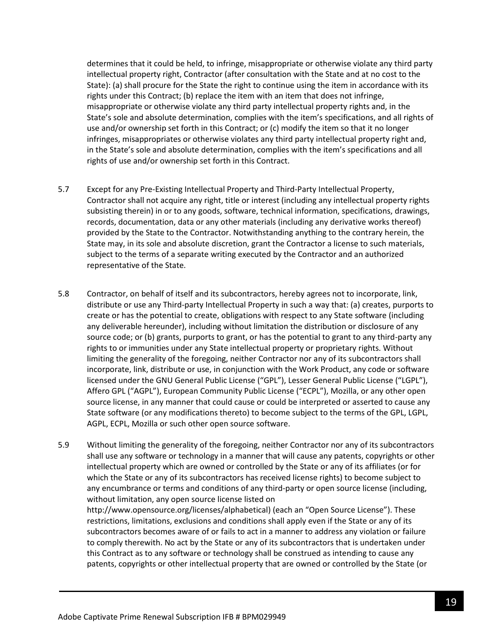determines that it could be held, to infringe, misappropriate or otherwise violate any third party intellectual property right, Contractor (after consultation with the State and at no cost to the State): (a) shall procure for the State the right to continue using the item in accordance with its rights under this Contract; (b) replace the item with an item that does not infringe, misappropriate or otherwise violate any third party intellectual property rights and, in the State's sole and absolute determination, complies with the item's specifications, and all rights of use and/or ownership set forth in this Contract; or (c) modify the item so that it no longer infringes, misappropriates or otherwise violates any third party intellectual property right and, in the State's sole and absolute determination, complies with the item's specifications and all rights of use and/or ownership set forth in this Contract.

- 5.7 Except for any Pre-Existing Intellectual Property and Third-Party Intellectual Property, Contractor shall not acquire any right, title or interest (including any intellectual property rights subsisting therein) in or to any goods, software, technical information, specifications, drawings, records, documentation, data or any other materials (including any derivative works thereof) provided by the State to the Contractor. Notwithstanding anything to the contrary herein, the State may, in its sole and absolute discretion, grant the Contractor a license to such materials, subject to the terms of a separate writing executed by the Contractor and an authorized representative of the State.
- 5.8 Contractor, on behalf of itself and its subcontractors, hereby agrees not to incorporate, link, distribute or use any Third-party Intellectual Property in such a way that: (a) creates, purports to create or has the potential to create, obligations with respect to any State software (including any deliverable hereunder), including without limitation the distribution or disclosure of any source code; or (b) grants, purports to grant, or has the potential to grant to any third-party any rights to or immunities under any State intellectual property or proprietary rights. Without limiting the generality of the foregoing, neither Contractor nor any of its subcontractors shall incorporate, link, distribute or use, in conjunction with the Work Product, any code or software licensed under the GNU General Public License ("GPL"), Lesser General Public License ("LGPL"), Affero GPL ("AGPL"), European Community Public License ("ECPL"), Mozilla, or any other open source license, in any manner that could cause or could be interpreted or asserted to cause any State software (or any modifications thereto) to become subject to the terms of the GPL, LGPL, AGPL, ECPL, Mozilla or such other open source software.
- 5.9 Without limiting the generality of the foregoing, neither Contractor nor any of its subcontractors shall use any software or technology in a manner that will cause any patents, copyrights or other intellectual property which are owned or controlled by the State or any of its affiliates (or for which the State or any of its subcontractors has received license rights) to become subject to any encumbrance or terms and conditions of any third-party or open source license (including, without limitation, any open source license listed on http://www.opensource.org/licenses/alphabetical) (each an "Open Source License"). These restrictions, limitations, exclusions and conditions shall apply even if the State or any of its subcontractors becomes aware of or fails to act in a manner to address any violation or failure to comply therewith. No act by the State or any of its subcontractors that is undertaken under this Contract as to any software or technology shall be construed as intending to cause any patents, copyrights or other intellectual property that are owned or controlled by the State (or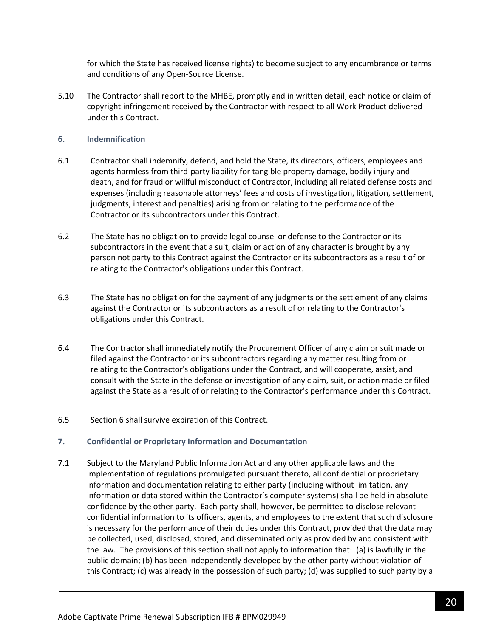for which the State has received license rights) to become subject to any encumbrance or terms and conditions of any Open-Source License.

5.10 The Contractor shall report to the MHBE, promptly and in written detail, each notice or claim of copyright infringement received by the Contractor with respect to all Work Product delivered under this Contract.

#### **6. Indemnification**

- 6.1 Contractor shall indemnify, defend, and hold the State, its directors, officers, employees and agents harmless from third-party liability for tangible property damage, bodily injury and death, and for fraud or willful misconduct of Contractor, including all related defense costs and expenses (including reasonable attorneys' fees and costs of investigation, litigation, settlement, judgments, interest and penalties) arising from or relating to the performance of the Contractor or its subcontractors under this Contract.
- 6.2 The State has no obligation to provide legal counsel or defense to the Contractor or its subcontractors in the event that a suit, claim or action of any character is brought by any person not party to this Contract against the Contractor or its subcontractors as a result of or relating to the Contractor's obligations under this Contract.
- 6.3 The State has no obligation for the payment of any judgments or the settlement of any claims against the Contractor or its subcontractors as a result of or relating to the Contractor's obligations under this Contract.
- 6.4 The Contractor shall immediately notify the Procurement Officer of any claim or suit made or filed against the Contractor or its subcontractors regarding any matter resulting from or relating to the Contractor's obligations under the Contract, and will cooperate, assist, and consult with the State in the defense or investigation of any claim, suit, or action made or filed against the State as a result of or relating to the Contractor's performance under this Contract.
- 6.5 Section 6 shall survive expiration of this Contract.

#### **7. Confidential or Proprietary Information and Documentation**

7.1 Subject to the Maryland Public Information Act and any other applicable laws and the implementation of regulations promulgated pursuant thereto, all confidential or proprietary information and documentation relating to either party (including without limitation, any information or data stored within the Contractor's computer systems) shall be held in absolute confidence by the other party. Each party shall, however, be permitted to disclose relevant confidential information to its officers, agents, and employees to the extent that such disclosure is necessary for the performance of their duties under this Contract, provided that the data may be collected, used, disclosed, stored, and disseminated only as provided by and consistent with the law. The provisions of this section shall not apply to information that: (a) is lawfully in the public domain; (b) has been independently developed by the other party without violation of this Contract; (c) was already in the possession of such party; (d) was supplied to such party by a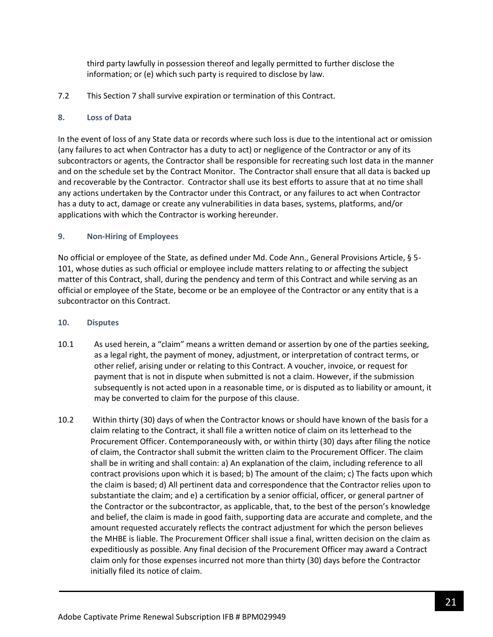third party lawfully in possession thereof and legally permitted to further disclose the information; or (e) which such party is required to disclose by law.

7.2 This Section 7 shall survive expiration or termination of this Contract.

### **8. Loss of Data**

In the event of loss of any State data or records where such loss is due to the intentional act or omission (any failures to act when Contractor has a duty to act) or negligence of the Contractor or any of its subcontractors or agents, the Contractor shall be responsible for recreating such lost data in the manner and on the schedule set by the Contract Monitor. The Contractor shall ensure that all data is backed up and recoverable by the Contractor. Contractor shall use its best efforts to assure that at no time shall any actions undertaken by the Contractor under this Contract, or any failures to act when Contractor has a duty to act, damage or create any vulnerabilities in data bases, systems, platforms, and/or applications with which the Contractor is working hereunder.

### **9. Non-Hiring of Employees**

No official or employee of the State, as defined under Md. Code Ann., General Provisions Article, § 5- 101, whose duties as such official or employee include matters relating to or affecting the subject matter of this Contract, shall, during the pendency and term of this Contract and while serving as an official or employee of the State, become or be an employee of the Contractor or any entity that is a subcontractor on this Contract.

#### **10. Disputes**

- 10.1 As used herein, a "claim" means a written demand or assertion by one of the parties seeking, as a legal right, the payment of money, adjustment, or interpretation of contract terms, or other relief, arising under or relating to this Contract. A voucher, invoice, or request for payment that is not in dispute when submitted is not a claim. However, if the submission subsequently is not acted upon in a reasonable time, or is disputed as to liability or amount, it may be converted to claim for the purpose of this clause.
- 10.2 Within thirty (30) days of when the Contractor knows or should have known of the basis for a claim relating to the Contract, it shall file a written notice of claim on its letterhead to the Procurement Officer. Contemporaneously with, or within thirty (30) days after filing the notice of claim, the Contractor shall submit the written claim to the Procurement Officer. The claim shall be in writing and shall contain: a) An explanation of the claim, including reference to all contract provisions upon which it is based; b) The amount of the claim; c) The facts upon which the claim is based; d) All pertinent data and correspondence that the Contractor relies upon to substantiate the claim; and e) a certification by a senior official, officer, or general partner of the Contractor or the subcontractor, as applicable, that, to the best of the person's knowledge and belief, the claim is made in good faith, supporting data are accurate and complete, and the amount requested accurately reflects the contract adjustment for which the person believes the MHBE is liable. The Procurement Officer shall issue a final, written decision on the claim as expeditiously as possible. Any final decision of the Procurement Officer may award a Contract claim only for those expenses incurred not more than thirty (30) days before the Contractor initially filed its notice of claim.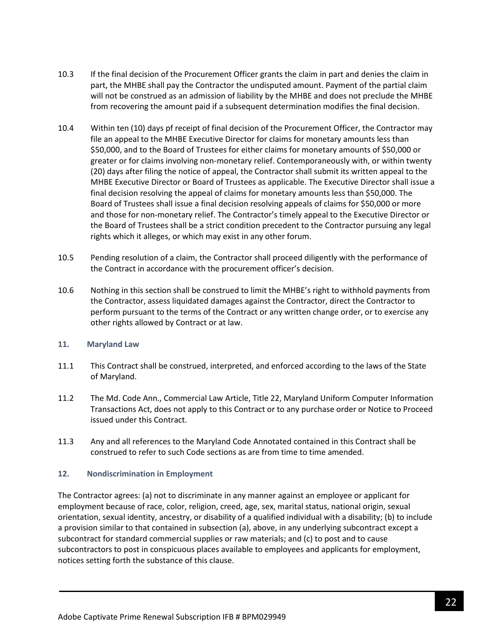- 10.3 If the final decision of the Procurement Officer grants the claim in part and denies the claim in part, the MHBE shall pay the Contractor the undisputed amount. Payment of the partial claim will not be construed as an admission of liability by the MHBE and does not preclude the MHBE from recovering the amount paid if a subsequent determination modifies the final decision.
- 10.4 Within ten (10) days pf receipt of final decision of the Procurement Officer, the Contractor may file an appeal to the MHBE Executive Director for claims for monetary amounts less than \$50,000, and to the Board of Trustees for either claims for monetary amounts of \$50,000 or greater or for claims involving non-monetary relief. Contemporaneously with, or within twenty (20) days after filing the notice of appeal, the Contractor shall submit its written appeal to the MHBE Executive Director or Board of Trustees as applicable. The Executive Director shall issue a final decision resolving the appeal of claims for monetary amounts less than \$50,000. The Board of Trustees shall issue a final decision resolving appeals of claims for \$50,000 or more and those for non-monetary relief. The Contractor's timely appeal to the Executive Director or the Board of Trustees shall be a strict condition precedent to the Contractor pursuing any legal rights which it alleges, or which may exist in any other forum.
- 10.5 Pending resolution of a claim, the Contractor shall proceed diligently with the performance of the Contract in accordance with the procurement officer's decision.
- 10.6 Nothing in this section shall be construed to limit the MHBE's right to withhold payments from the Contractor, assess liquidated damages against the Contractor, direct the Contractor to perform pursuant to the terms of the Contract or any written change order, or to exercise any other rights allowed by Contract or at law.

#### **11. Maryland Law**

- 11.1 This Contract shall be construed, interpreted, and enforced according to the laws of the State of Maryland.
- 11.2 The Md. Code Ann., Commercial Law Article, Title 22, Maryland Uniform Computer Information Transactions Act, does not apply to this Contract or to any purchase order or Notice to Proceed issued under this Contract.
- 11.3 Any and all references to the Maryland Code Annotated contained in this Contract shall be construed to refer to such Code sections as are from time to time amended.

#### **12. Nondiscrimination in Employment**

The Contractor agrees: (a) not to discriminate in any manner against an employee or applicant for employment because of race, color, religion, creed, age, sex, marital status, national origin, sexual orientation, sexual identity, ancestry, or disability of a qualified individual with a disability; (b) to include a provision similar to that contained in subsection (a), above, in any underlying subcontract except a subcontract for standard commercial supplies or raw materials; and (c) to post and to cause subcontractors to post in conspicuous places available to employees and applicants for employment, notices setting forth the substance of this clause.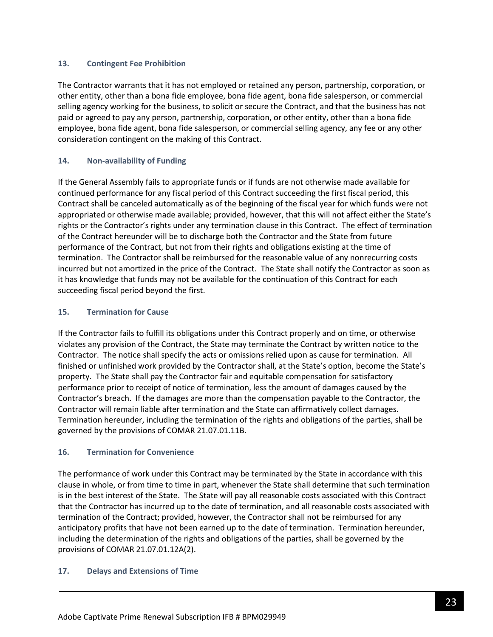#### **13. Contingent Fee Prohibition**

The Contractor warrants that it has not employed or retained any person, partnership, corporation, or other entity, other than a bona fide employee, bona fide agent, bona fide salesperson, or commercial selling agency working for the business, to solicit or secure the Contract, and that the business has not paid or agreed to pay any person, partnership, corporation, or other entity, other than a bona fide employee, bona fide agent, bona fide salesperson, or commercial selling agency, any fee or any other consideration contingent on the making of this Contract.

### **14. Non-availability of Funding**

If the General Assembly fails to appropriate funds or if funds are not otherwise made available for continued performance for any fiscal period of this Contract succeeding the first fiscal period, this Contract shall be canceled automatically as of the beginning of the fiscal year for which funds were not appropriated or otherwise made available; provided, however, that this will not affect either the State's rights or the Contractor's rights under any termination clause in this Contract. The effect of termination of the Contract hereunder will be to discharge both the Contractor and the State from future performance of the Contract, but not from their rights and obligations existing at the time of termination. The Contractor shall be reimbursed for the reasonable value of any nonrecurring costs incurred but not amortized in the price of the Contract. The State shall notify the Contractor as soon as it has knowledge that funds may not be available for the continuation of this Contract for each succeeding fiscal period beyond the first.

### **15. Termination for Cause**

If the Contractor fails to fulfill its obligations under this Contract properly and on time, or otherwise violates any provision of the Contract, the State may terminate the Contract by written notice to the Contractor. The notice shall specify the acts or omissions relied upon as cause for termination. All finished or unfinished work provided by the Contractor shall, at the State's option, become the State's property. The State shall pay the Contractor fair and equitable compensation for satisfactory performance prior to receipt of notice of termination, less the amount of damages caused by the Contractor's breach. If the damages are more than the compensation payable to the Contractor, the Contractor will remain liable after termination and the State can affirmatively collect damages. Termination hereunder, including the termination of the rights and obligations of the parties, shall be governed by the provisions of COMAR 21.07.01.11B.

#### **16. Termination for Convenience**

The performance of work under this Contract may be terminated by the State in accordance with this clause in whole, or from time to time in part, whenever the State shall determine that such termination is in the best interest of the State. The State will pay all reasonable costs associated with this Contract that the Contractor has incurred up to the date of termination, and all reasonable costs associated with termination of the Contract; provided, however, the Contractor shall not be reimbursed for any anticipatory profits that have not been earned up to the date of termination. Termination hereunder, including the determination of the rights and obligations of the parties, shall be governed by the provisions of COMAR 21.07.01.12A(2).

#### **17. Delays and Extensions of Time**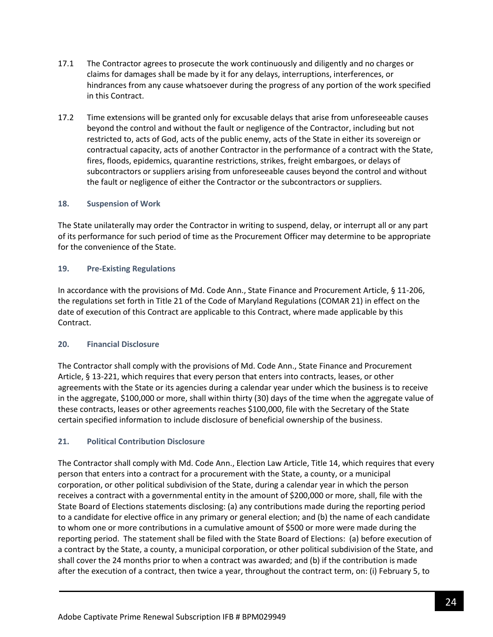- 17.1 The Contractor agrees to prosecute the work continuously and diligently and no charges or claims for damages shall be made by it for any delays, interruptions, interferences, or hindrances from any cause whatsoever during the progress of any portion of the work specified in this Contract.
- 17.2 Time extensions will be granted only for excusable delays that arise from unforeseeable causes beyond the control and without the fault or negligence of the Contractor, including but not restricted to, acts of God, acts of the public enemy, acts of the State in either its sovereign or contractual capacity, acts of another Contractor in the performance of a contract with the State, fires, floods, epidemics, quarantine restrictions, strikes, freight embargoes, or delays of subcontractors or suppliers arising from unforeseeable causes beyond the control and without the fault or negligence of either the Contractor or the subcontractors or suppliers.

### **18. Suspension of Work**

The State unilaterally may order the Contractor in writing to suspend, delay, or interrupt all or any part of its performance for such period of time as the Procurement Officer may determine to be appropriate for the convenience of the State.

### **19. Pre-Existing Regulations**

In accordance with the provisions of Md. Code Ann., State Finance and Procurement Article, § 11-206, the regulations set forth in Title 21 of the Code of Maryland Regulations (COMAR 21) in effect on the date of execution of this Contract are applicable to this Contract, where made applicable by this Contract.

#### **20. Financial Disclosure**

The Contractor shall comply with the provisions of Md. Code Ann., State Finance and Procurement Article, § 13-221, which requires that every person that enters into contracts, leases, or other agreements with the State or its agencies during a calendar year under which the business is to receive in the aggregate, \$100,000 or more, shall within thirty (30) days of the time when the aggregate value of these contracts, leases or other agreements reaches \$100,000, file with the Secretary of the State certain specified information to include disclosure of beneficial ownership of the business.

#### **21. Political Contribution Disclosure**

The Contractor shall comply with Md. Code Ann., Election Law Article, Title 14, which requires that every person that enters into a contract for a procurement with the State, a county, or a municipal corporation, or other political subdivision of the State, during a calendar year in which the person receives a contract with a governmental entity in the amount of \$200,000 or more, shall, file with the State Board of Elections statements disclosing: (a) any contributions made during the reporting period to a candidate for elective office in any primary or general election; and (b) the name of each candidate to whom one or more contributions in a cumulative amount of \$500 or more were made during the reporting period. The statement shall be filed with the State Board of Elections: (a) before execution of a contract by the State, a county, a municipal corporation, or other political subdivision of the State, and shall cover the 24 months prior to when a contract was awarded; and (b) if the contribution is made after the execution of a contract, then twice a year, throughout the contract term, on: (i) February 5, to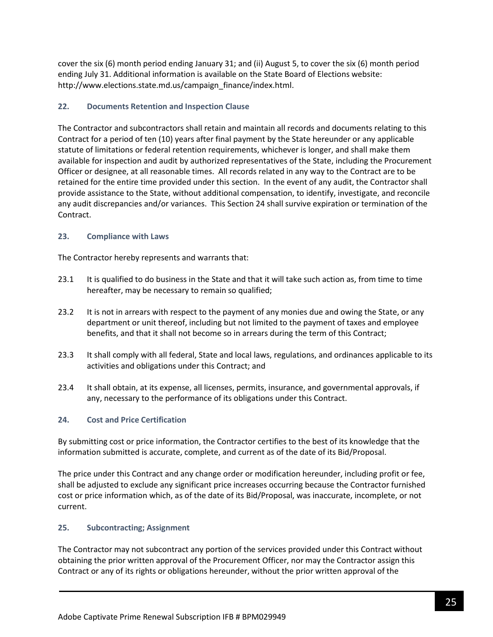cover the six (6) month period ending January 31; and (ii) August 5, to cover the six (6) month period ending July 31. Additional information is available on the State Board of Elections website: http://www.elections.state.md.us/campaign\_finance/index.html.

## **22. Documents Retention and Inspection Clause**

The Contractor and subcontractors shall retain and maintain all records and documents relating to this Contract for a period of ten (10) years after final payment by the State hereunder or any applicable statute of limitations or federal retention requirements, whichever is longer, and shall make them available for inspection and audit by authorized representatives of the State, including the Procurement Officer or designee, at all reasonable times. All records related in any way to the Contract are to be retained for the entire time provided under this section. In the event of any audit, the Contractor shall provide assistance to the State, without additional compensation, to identify, investigate, and reconcile any audit discrepancies and/or variances. This Section 24 shall survive expiration or termination of the Contract.

#### **23. Compliance with Laws**

The Contractor hereby represents and warrants that:

- 23.1 It is qualified to do business in the State and that it will take such action as, from time to time hereafter, may be necessary to remain so qualified;
- 23.2 It is not in arrears with respect to the payment of any monies due and owing the State, or any department or unit thereof, including but not limited to the payment of taxes and employee benefits, and that it shall not become so in arrears during the term of this Contract;
- 23.3 It shall comply with all federal, State and local laws, regulations, and ordinances applicable to its activities and obligations under this Contract; and
- 23.4 It shall obtain, at its expense, all licenses, permits, insurance, and governmental approvals, if any, necessary to the performance of its obligations under this Contract.

#### **24. Cost and Price Certification**

By submitting cost or price information, the Contractor certifies to the best of its knowledge that the information submitted is accurate, complete, and current as of the date of its Bid/Proposal.

The price under this Contract and any change order or modification hereunder, including profit or fee, shall be adjusted to exclude any significant price increases occurring because the Contractor furnished cost or price information which, as of the date of its Bid/Proposal, was inaccurate, incomplete, or not current.

#### **25. Subcontracting; Assignment**

The Contractor may not subcontract any portion of the services provided under this Contract without obtaining the prior written approval of the Procurement Officer, nor may the Contractor assign this Contract or any of its rights or obligations hereunder, without the prior written approval of the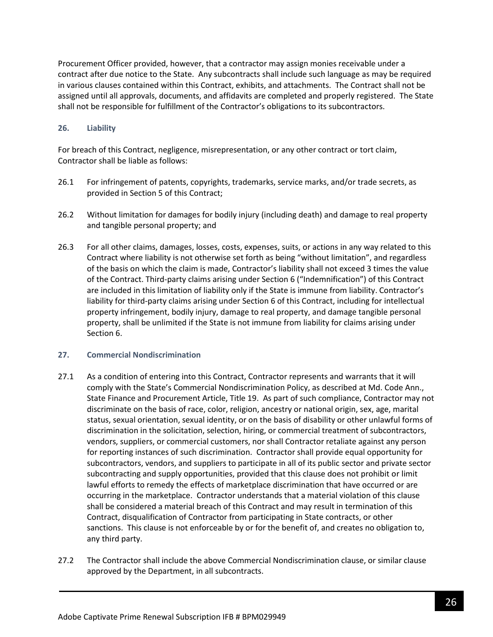Procurement Officer provided, however, that a contractor may assign monies receivable under a contract after due notice to the State. Any subcontracts shall include such language as may be required in various clauses contained within this Contract, exhibits, and attachments. The Contract shall not be assigned until all approvals, documents, and affidavits are completed and properly registered. The State shall not be responsible for fulfillment of the Contractor's obligations to its subcontractors.

### **26. Liability**

For breach of this Contract, negligence, misrepresentation, or any other contract or tort claim, Contractor shall be liable as follows:

- 26.1 For infringement of patents, copyrights, trademarks, service marks, and/or trade secrets, as provided in Section 5 of this Contract;
- 26.2 Without limitation for damages for bodily injury (including death) and damage to real property and tangible personal property; and
- 26.3 For all other claims, damages, losses, costs, expenses, suits, or actions in any way related to this Contract where liability is not otherwise set forth as being "without limitation", and regardless of the basis on which the claim is made, Contractor's liability shall not exceed 3 times the value of the Contract. Third-party claims arising under Section 6 ("Indemnification") of this Contract are included in this limitation of liability only if the State is immune from liability. Contractor's liability for third-party claims arising under Section 6 of this Contract, including for intellectual property infringement, bodily injury, damage to real property, and damage tangible personal property, shall be unlimited if the State is not immune from liability for claims arising under Section 6.

#### **27. Commercial Nondiscrimination**

- 27.1 As a condition of entering into this Contract, Contractor represents and warrants that it will comply with the State's Commercial Nondiscrimination Policy, as described at Md. Code Ann., State Finance and Procurement Article, Title 19. As part of such compliance, Contractor may not discriminate on the basis of race, color, religion, ancestry or national origin, sex, age, marital status, sexual orientation, sexual identity, or on the basis of disability or other unlawful forms of discrimination in the solicitation, selection, hiring, or commercial treatment of subcontractors, vendors, suppliers, or commercial customers, nor shall Contractor retaliate against any person for reporting instances of such discrimination. Contractor shall provide equal opportunity for subcontractors, vendors, and suppliers to participate in all of its public sector and private sector subcontracting and supply opportunities, provided that this clause does not prohibit or limit lawful efforts to remedy the effects of marketplace discrimination that have occurred or are occurring in the marketplace. Contractor understands that a material violation of this clause shall be considered a material breach of this Contract and may result in termination of this Contract, disqualification of Contractor from participating in State contracts, or other sanctions. This clause is not enforceable by or for the benefit of, and creates no obligation to, any third party.
- 27.2 The Contractor shall include the above Commercial Nondiscrimination clause, or similar clause approved by the Department, in all subcontracts.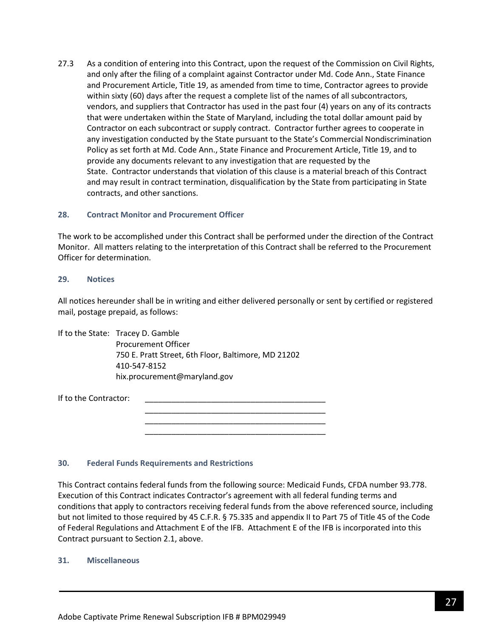27.3 As a condition of entering into this Contract, upon the request of the Commission on Civil Rights, and only after the filing of a complaint against Contractor under Md. Code Ann., State Finance and Procurement Article, Title 19, as amended from time to time, Contractor agrees to provide within sixty (60) days after the request a complete list of the names of all subcontractors, vendors, and suppliers that Contractor has used in the past four (4) years on any of its contracts that were undertaken within the State of Maryland, including the total dollar amount paid by Contractor on each subcontract or supply contract. Contractor further agrees to cooperate in any investigation conducted by the State pursuant to the State's Commercial Nondiscrimination Policy as set forth at Md. Code Ann., State Finance and Procurement Article, Title 19, and to provide any documents relevant to any investigation that are requested by the State. Contractor understands that violation of this clause is a material breach of this Contract and may result in contract termination, disqualification by the State from participating in State contracts, and other sanctions.

#### **28. Contract Monitor and Procurement Officer**

The work to be accomplished under this Contract shall be performed under the direction of the Contract Monitor. All matters relating to the interpretation of this Contract shall be referred to the Procurement Officer for determination.

#### **29. Notices**

All notices hereunder shall be in writing and either delivered personally or sent by certified or registered mail, postage prepaid, as follows:

> \_\_\_\_\_\_\_\_\_\_\_\_\_\_\_\_\_\_\_\_\_\_\_\_\_\_\_\_\_\_\_\_\_\_\_\_\_\_\_\_\_ \_\_\_\_\_\_\_\_\_\_\_\_\_\_\_\_\_\_\_\_\_\_\_\_\_\_\_\_\_\_\_\_\_\_\_\_\_\_\_\_\_ \_\_\_\_\_\_\_\_\_\_\_\_\_\_\_\_\_\_\_\_\_\_\_\_\_\_\_\_\_\_\_\_\_\_\_\_\_\_\_\_\_

If to the State: Tracey D. Gamble Procurement Officer 750 E. Pratt Street, 6th Floor, Baltimore, MD 21202 410-547-8152 hix.procurement@maryland.gov

If to the Contractor:

#### **30. Federal Funds Requirements and Restrictions**

This Contract contains federal funds from the following source: Medicaid Funds, CFDA number 93.778. Execution of this Contract indicates Contractor's agreement with all federal funding terms and conditions that apply to contractors receiving federal funds from the above referenced source, including but not limited to those required by 45 C.F.R. § 75.335 and appendix II to Part 75 of Title 45 of the Code of Federal Regulations and Attachment E of the IFB. Attachment E of the IFB is incorporated into this Contract pursuant to Section 2.1, above.

#### **31. Miscellaneous**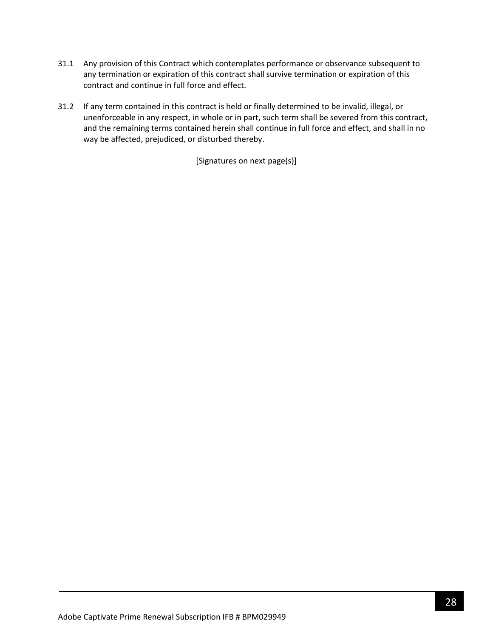- 31.1 Any provision of this Contract which contemplates performance or observance subsequent to any termination or expiration of this contract shall survive termination or expiration of this contract and continue in full force and effect.
- 31.2 If any term contained in this contract is held or finally determined to be invalid, illegal, or unenforceable in any respect, in whole or in part, such term shall be severed from this contract, and the remaining terms contained herein shall continue in full force and effect, and shall in no way be affected, prejudiced, or disturbed thereby.

[Signatures on next page(s)]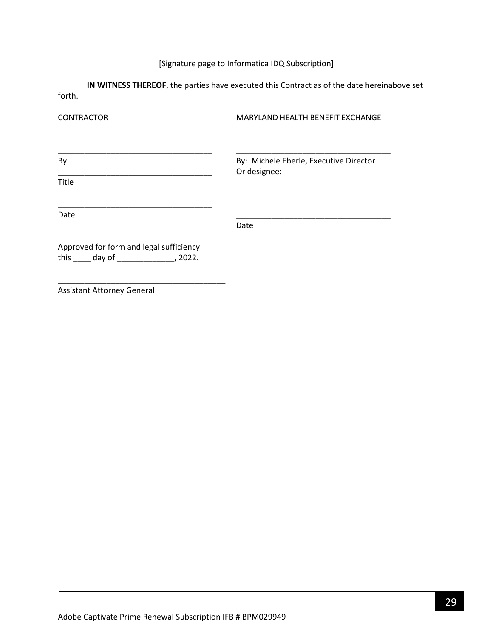# [Signature page to Informatica IDQ Subscription]

**IN WITNESS THEREOF**, the parties have executed this Contract as of the date hereinabove set forth.

| <b>CONTRACTOR</b>                                                                              | MARYLAND HEALTH BENEFIT EXCHANGE       |
|------------------------------------------------------------------------------------------------|----------------------------------------|
| By                                                                                             | By: Michele Eberle, Executive Director |
| <b>Title</b>                                                                                   | Or designee:                           |
| Date                                                                                           | Date                                   |
| Approved for form and legal sufficiency<br>this $\qquad \qquad$ day of $\qquad \qquad$ , 2022. |                                        |

Assistant Attorney General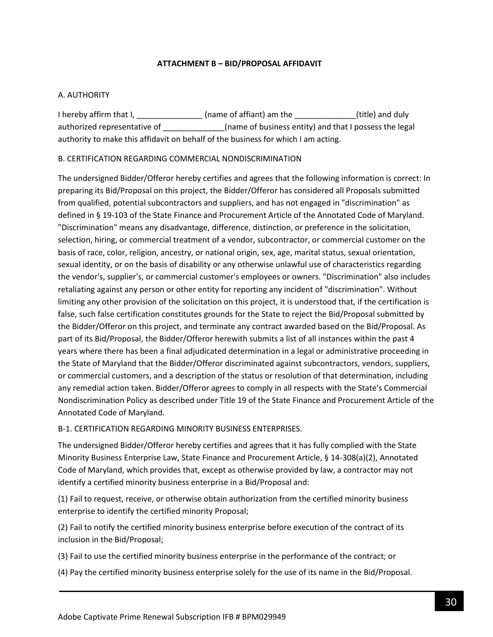#### **ATTACHMENT B – BID/PROPOSAL AFFIDAVIT**

#### <span id="page-29-0"></span>A. AUTHORITY

I hereby affirm that I, \_\_\_\_\_\_\_\_\_\_\_\_\_\_\_\_\_\_(name of affiant) am the \_\_\_\_\_\_\_\_\_\_\_\_\_\_(title) and duly authorized representative of \_\_\_\_\_\_\_\_\_\_\_\_\_(name of business entity) and that I possess the legal authority to make this affidavit on behalf of the business for which I am acting.

### B. CERTIFICATION REGARDING COMMERCIAL NONDISCRIMINATION

The undersigned Bidder/Offeror hereby certifies and agrees that the following information is correct: In preparing its Bid/Proposal on this project, the Bidder/Offeror has considered all Proposals submitted from qualified, potential subcontractors and suppliers, and has not engaged in "discrimination" as defined in § 19-103 of the State Finance and Procurement Article of the Annotated Code of Maryland. "Discrimination" means any disadvantage, difference, distinction, or preference in the solicitation, selection, hiring, or commercial treatment of a vendor, subcontractor, or commercial customer on the basis of race, color, religion, ancestry, or national origin, sex, age, marital status, sexual orientation, sexual identity, or on the basis of disability or any otherwise unlawful use of characteristics regarding the vendor's, supplier's, or commercial customer's employees or owners. "Discrimination" also includes retaliating against any person or other entity for reporting any incident of "discrimination". Without limiting any other provision of the solicitation on this project, it is understood that, if the certification is false, such false certification constitutes grounds for the State to reject the Bid/Proposal submitted by the Bidder/Offeror on this project, and terminate any contract awarded based on the Bid/Proposal. As part of its Bid/Proposal, the Bidder/Offeror herewith submits a list of all instances within the past 4 years where there has been a final adjudicated determination in a legal or administrative proceeding in the State of Maryland that the Bidder/Offeror discriminated against subcontractors, vendors, suppliers, or commercial customers, and a description of the status or resolution of that determination, including any remedial action taken. Bidder/Offeror agrees to comply in all respects with the State's Commercial Nondiscrimination Policy as described under Title 19 of the State Finance and Procurement Article of the Annotated Code of Maryland.

#### B-1. CERTIFICATION REGARDING MINORITY BUSINESS ENTERPRISES.

The undersigned Bidder/Offeror hereby certifies and agrees that it has fully complied with the State Minority Business Enterprise Law, State Finance and Procurement Article, § 14-308(a)(2), Annotated Code of Maryland, which provides that, except as otherwise provided by law, a contractor may not identify a certified minority business enterprise in a Bid/Proposal and:

(1) Fail to request, receive, or otherwise obtain authorization from the certified minority business enterprise to identify the certified minority Proposal;

(2) Fail to notify the certified minority business enterprise before execution of the contract of its inclusion in the Bid/Proposal;

(3) Fail to use the certified minority business enterprise in the performance of the contract; or

(4) Pay the certified minority business enterprise solely for the use of its name in the Bid/Proposal.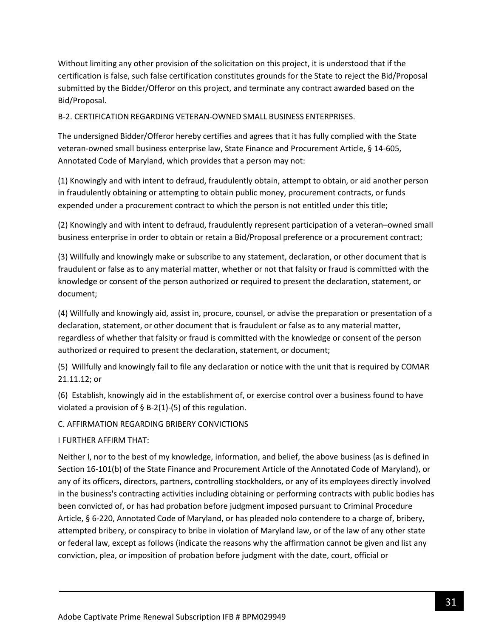Without limiting any other provision of the solicitation on this project, it is understood that if the certification is false, such false certification constitutes grounds for the State to reject the Bid/Proposal submitted by the Bidder/Offeror on this project, and terminate any contract awarded based on the Bid/Proposal.

B-2. CERTIFICATION REGARDING VETERAN-OWNED SMALL BUSINESS ENTERPRISES.

The undersigned Bidder/Offeror hereby certifies and agrees that it has fully complied with the State veteran-owned small business enterprise law, State Finance and Procurement Article, § 14-605, Annotated Code of Maryland, which provides that a person may not:

(1) Knowingly and with intent to defraud, fraudulently obtain, attempt to obtain, or aid another person in fraudulently obtaining or attempting to obtain public money, procurement contracts, or funds expended under a procurement contract to which the person is not entitled under this title;

(2) Knowingly and with intent to defraud, fraudulently represent participation of a veteran–owned small business enterprise in order to obtain or retain a Bid/Proposal preference or a procurement contract;

(3) Willfully and knowingly make or subscribe to any statement, declaration, or other document that is fraudulent or false as to any material matter, whether or not that falsity or fraud is committed with the knowledge or consent of the person authorized or required to present the declaration, statement, or document;

(4) Willfully and knowingly aid, assist in, procure, counsel, or advise the preparation or presentation of a declaration, statement, or other document that is fraudulent or false as to any material matter, regardless of whether that falsity or fraud is committed with the knowledge or consent of the person authorized or required to present the declaration, statement, or document;

(5) Willfully and knowingly fail to file any declaration or notice with the unit that is required by COMAR 21.11.12; or

(6) Establish, knowingly aid in the establishment of, or exercise control over a business found to have violated a provision of  $\S$  B-2(1)-(5) of this regulation.

C. AFFIRMATION REGARDING BRIBERY CONVICTIONS

I FURTHER AFFIRM THAT:

Neither I, nor to the best of my knowledge, information, and belief, the above business (as is defined in Section 16-101(b) of the State Finance and Procurement Article of the Annotated Code of Maryland), or any of its officers, directors, partners, controlling stockholders, or any of its employees directly involved in the business's contracting activities including obtaining or performing contracts with public bodies has been convicted of, or has had probation before judgment imposed pursuant to Criminal Procedure Article, § 6-220, Annotated Code of Maryland, or has pleaded nolo contendere to a charge of, bribery, attempted bribery, or conspiracy to bribe in violation of Maryland law, or of the law of any other state or federal law, except as follows (indicate the reasons why the affirmation cannot be given and list any conviction, plea, or imposition of probation before judgment with the date, court, official or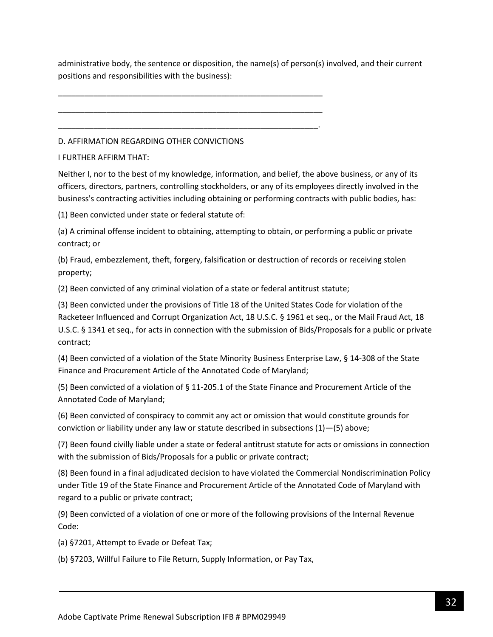administrative body, the sentence or disposition, the name(s) of person(s) involved, and their current positions and responsibilities with the business):

D. AFFIRMATION REGARDING OTHER CONVICTIONS

\_\_\_\_\_\_\_\_\_\_\_\_\_\_\_\_\_\_\_\_\_\_\_\_\_\_\_\_\_\_\_\_\_\_\_\_\_\_\_\_\_\_\_\_\_\_\_\_\_\_\_\_\_\_\_\_\_\_\_\_

\_\_\_\_\_\_\_\_\_\_\_\_\_\_\_\_\_\_\_\_\_\_\_\_\_\_\_\_\_\_\_\_\_\_\_\_\_\_\_\_\_\_\_\_\_\_\_\_\_\_\_\_\_\_\_\_\_\_\_\_

\_\_\_\_\_\_\_\_\_\_\_\_\_\_\_\_\_\_\_\_\_\_\_\_\_\_\_\_\_\_\_\_\_\_\_\_\_\_\_\_\_\_\_\_\_\_\_\_\_\_\_\_\_\_\_\_\_\_\_.

I FURTHER AFFIRM THAT:

Neither I, nor to the best of my knowledge, information, and belief, the above business, or any of its officers, directors, partners, controlling stockholders, or any of its employees directly involved in the business's contracting activities including obtaining or performing contracts with public bodies, has:

(1) Been convicted under state or federal statute of:

(a) A criminal offense incident to obtaining, attempting to obtain, or performing a public or private contract; or

(b) Fraud, embezzlement, theft, forgery, falsification or destruction of records or receiving stolen property;

(2) Been convicted of any criminal violation of a state or federal antitrust statute;

(3) Been convicted under the provisions of Title 18 of the United States Code for violation of the Racketeer Influenced and Corrupt Organization Act, 18 U.S.C. § 1961 et seq., or the Mail Fraud Act, 18 U.S.C. § 1341 et seq., for acts in connection with the submission of Bids/Proposals for a public or private contract;

(4) Been convicted of a violation of the State Minority Business Enterprise Law, § 14-308 of the State Finance and Procurement Article of the Annotated Code of Maryland;

(5) Been convicted of a violation of § 11-205.1 of the State Finance and Procurement Article of the Annotated Code of Maryland;

(6) Been convicted of conspiracy to commit any act or omission that would constitute grounds for conviction or liability under any law or statute described in subsections (1)—(5) above;

(7) Been found civilly liable under a state or federal antitrust statute for acts or omissions in connection with the submission of Bids/Proposals for a public or private contract;

(8) Been found in a final adjudicated decision to have violated the Commercial Nondiscrimination Policy under Title 19 of the State Finance and Procurement Article of the Annotated Code of Maryland with regard to a public or private contract;

(9) Been convicted of a violation of one or more of the following provisions of the Internal Revenue Code:

(a) §7201, Attempt to Evade or Defeat Tax;

(b) §7203, Willful Failure to File Return, Supply Information, or Pay Tax,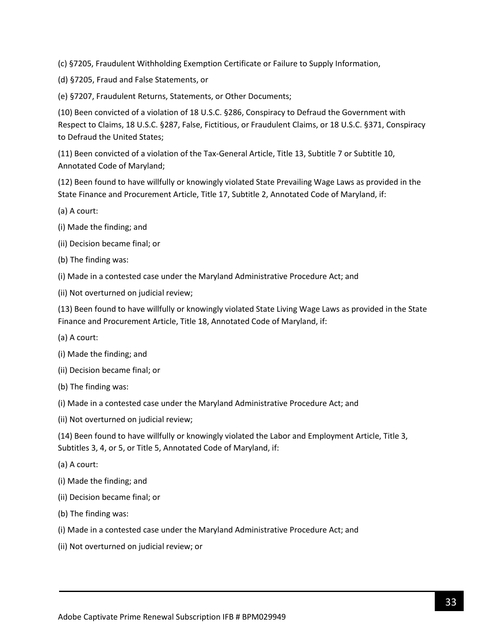(c) §7205, Fraudulent Withholding Exemption Certificate or Failure to Supply Information,

(d) §7205, Fraud and False Statements, or

(e) §7207, Fraudulent Returns, Statements, or Other Documents;

(10) Been convicted of a violation of 18 U.S.C. §286, Conspiracy to Defraud the Government with Respect to Claims, 18 U.S.C. §287, False, Fictitious, or Fraudulent Claims, or 18 U.S.C. §371, Conspiracy to Defraud the United States;

(11) Been convicted of a violation of the Tax-General Article, Title 13, Subtitle 7 or Subtitle 10, Annotated Code of Maryland;

(12) Been found to have willfully or knowingly violated State Prevailing Wage Laws as provided in the State Finance and Procurement Article, Title 17, Subtitle 2, Annotated Code of Maryland, if:

- (a) A court:
- (i) Made the finding; and
- (ii) Decision became final; or
- (b) The finding was:
- (i) Made in a contested case under the Maryland Administrative Procedure Act; and
- (ii) Not overturned on judicial review;

(13) Been found to have willfully or knowingly violated State Living Wage Laws as provided in the State Finance and Procurement Article, Title 18, Annotated Code of Maryland, if:

- (a) A court:
- (i) Made the finding; and
- (ii) Decision became final; or
- (b) The finding was:
- (i) Made in a contested case under the Maryland Administrative Procedure Act; and
- (ii) Not overturned on judicial review;

(14) Been found to have willfully or knowingly violated the Labor and Employment Article, Title 3, Subtitles 3, 4, or 5, or Title 5, Annotated Code of Maryland, if:

- (a) A court:
- (i) Made the finding; and
- (ii) Decision became final; or
- (b) The finding was:
- (i) Made in a contested case under the Maryland Administrative Procedure Act; and
- (ii) Not overturned on judicial review; or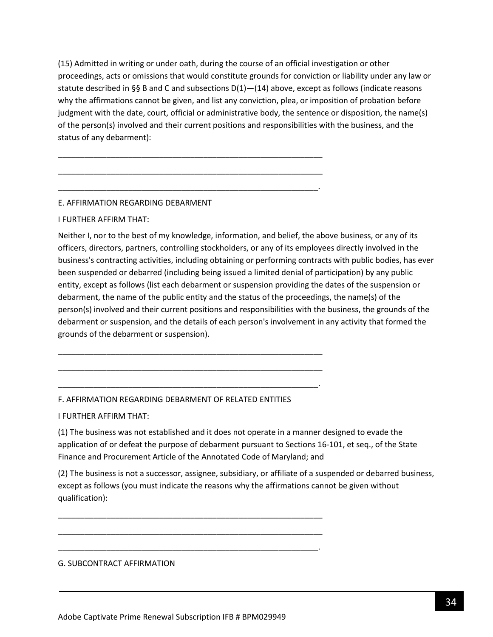(15) Admitted in writing or under oath, during the course of an official investigation or other proceedings, acts or omissions that would constitute grounds for conviction or liability under any law or statute described in §§ B and C and subsections  $D(1)$ — $(14)$  above, except as follows (indicate reasons why the affirmations cannot be given, and list any conviction, plea, or imposition of probation before judgment with the date, court, official or administrative body, the sentence or disposition, the name(s) of the person(s) involved and their current positions and responsibilities with the business, and the status of any debarment):

\_\_\_\_\_\_\_\_\_\_\_\_\_\_\_\_\_\_\_\_\_\_\_\_\_\_\_\_\_\_\_\_\_\_\_\_\_\_\_\_\_\_\_\_\_\_\_\_\_\_\_\_\_\_\_\_\_\_\_\_

\_\_\_\_\_\_\_\_\_\_\_\_\_\_\_\_\_\_\_\_\_\_\_\_\_\_\_\_\_\_\_\_\_\_\_\_\_\_\_\_\_\_\_\_\_\_\_\_\_\_\_\_\_\_\_\_\_\_\_\_

\_\_\_\_\_\_\_\_\_\_\_\_\_\_\_\_\_\_\_\_\_\_\_\_\_\_\_\_\_\_\_\_\_\_\_\_\_\_\_\_\_\_\_\_\_\_\_\_\_\_\_\_\_\_\_\_\_\_\_.

### E. AFFIRMATION REGARDING DEBARMENT

#### I FURTHER AFFIRM THAT:

Neither I, nor to the best of my knowledge, information, and belief, the above business, or any of its officers, directors, partners, controlling stockholders, or any of its employees directly involved in the business's contracting activities, including obtaining or performing contracts with public bodies, has ever been suspended or debarred (including being issued a limited denial of participation) by any public entity, except as follows (list each debarment or suspension providing the dates of the suspension or debarment, the name of the public entity and the status of the proceedings, the name(s) of the person(s) involved and their current positions and responsibilities with the business, the grounds of the debarment or suspension, and the details of each person's involvement in any activity that formed the grounds of the debarment or suspension).

#### F. AFFIRMATION REGARDING DEBARMENT OF RELATED ENTITIES

\_\_\_\_\_\_\_\_\_\_\_\_\_\_\_\_\_\_\_\_\_\_\_\_\_\_\_\_\_\_\_\_\_\_\_\_\_\_\_\_\_\_\_\_\_\_\_\_\_\_\_\_\_\_\_\_\_\_\_\_

\_\_\_\_\_\_\_\_\_\_\_\_\_\_\_\_\_\_\_\_\_\_\_\_\_\_\_\_\_\_\_\_\_\_\_\_\_\_\_\_\_\_\_\_\_\_\_\_\_\_\_\_\_\_\_\_\_\_\_\_

\_\_\_\_\_\_\_\_\_\_\_\_\_\_\_\_\_\_\_\_\_\_\_\_\_\_\_\_\_\_\_\_\_\_\_\_\_\_\_\_\_\_\_\_\_\_\_\_\_\_\_\_\_\_\_\_\_\_\_.

\_\_\_\_\_\_\_\_\_\_\_\_\_\_\_\_\_\_\_\_\_\_\_\_\_\_\_\_\_\_\_\_\_\_\_\_\_\_\_\_\_\_\_\_\_\_\_\_\_\_\_\_\_\_\_\_\_\_\_\_

\_\_\_\_\_\_\_\_\_\_\_\_\_\_\_\_\_\_\_\_\_\_\_\_\_\_\_\_\_\_\_\_\_\_\_\_\_\_\_\_\_\_\_\_\_\_\_\_\_\_\_\_\_\_\_\_\_\_\_\_

\_\_\_\_\_\_\_\_\_\_\_\_\_\_\_\_\_\_\_\_\_\_\_\_\_\_\_\_\_\_\_\_\_\_\_\_\_\_\_\_\_\_\_\_\_\_\_\_\_\_\_\_\_\_\_\_\_\_\_.

I FURTHER AFFIRM THAT:

(1) The business was not established and it does not operate in a manner designed to evade the application of or defeat the purpose of debarment pursuant to Sections 16-101, et seq., of the State Finance and Procurement Article of the Annotated Code of Maryland; and

(2) The business is not a successor, assignee, subsidiary, or affiliate of a suspended or debarred business, except as follows (you must indicate the reasons why the affirmations cannot be given without qualification):

#### G. SUBCONTRACT AFFIRMATION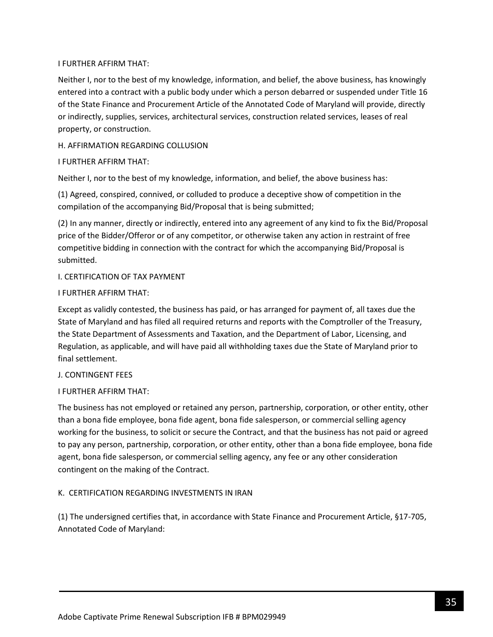### I FURTHER AFFIRM THAT:

Neither I, nor to the best of my knowledge, information, and belief, the above business, has knowingly entered into a contract with a public body under which a person debarred or suspended under Title 16 of the State Finance and Procurement Article of the Annotated Code of Maryland will provide, directly or indirectly, supplies, services, architectural services, construction related services, leases of real property, or construction.

### H. AFFIRMATION REGARDING COLLUSION

### I FURTHER AFFIRM THAT:

Neither I, nor to the best of my knowledge, information, and belief, the above business has:

(1) Agreed, conspired, connived, or colluded to produce a deceptive show of competition in the compilation of the accompanying Bid/Proposal that is being submitted;

(2) In any manner, directly or indirectly, entered into any agreement of any kind to fix the Bid/Proposal price of the Bidder/Offeror or of any competitor, or otherwise taken any action in restraint of free competitive bidding in connection with the contract for which the accompanying Bid/Proposal is submitted.

### I. CERTIFICATION OF TAX PAYMENT

#### I FURTHER AFFIRM THAT:

Except as validly contested, the business has paid, or has arranged for payment of, all taxes due the State of Maryland and has filed all required returns and reports with the Comptroller of the Treasury, the State Department of Assessments and Taxation, and the Department of Labor, Licensing, and Regulation, as applicable, and will have paid all withholding taxes due the State of Maryland prior to final settlement.

#### J. CONTINGENT FEES

## I FURTHER AFFIRM THAT:

The business has not employed or retained any person, partnership, corporation, or other entity, other than a bona fide employee, bona fide agent, bona fide salesperson, or commercial selling agency working for the business, to solicit or secure the Contract, and that the business has not paid or agreed to pay any person, partnership, corporation, or other entity, other than a bona fide employee, bona fide agent, bona fide salesperson, or commercial selling agency, any fee or any other consideration contingent on the making of the Contract.

## K. CERTIFICATION REGARDING INVESTMENTS IN IRAN

(1) The undersigned certifies that, in accordance with State Finance and Procurement Article, §17-705, Annotated Code of Maryland: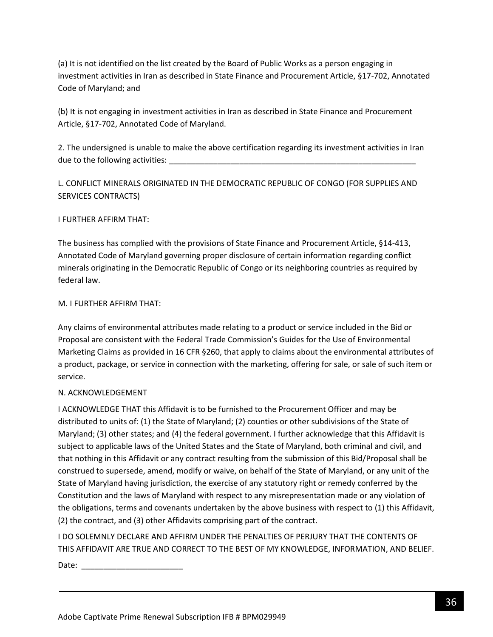(a) It is not identified on the list created by the Board of Public Works as a person engaging in investment activities in Iran as described in State Finance and Procurement Article, §17-702, Annotated Code of Maryland; and

(b) It is not engaging in investment activities in Iran as described in State Finance and Procurement Article, §17-702, Annotated Code of Maryland.

2. The undersigned is unable to make the above certification regarding its investment activities in Iran due to the following activities:

L. CONFLICT MINERALS ORIGINATED IN THE DEMOCRATIC REPUBLIC OF CONGO (FOR SUPPLIES AND SERVICES CONTRACTS)

## I FURTHER AFFIRM THAT:

The business has complied with the provisions of State Finance and Procurement Article, §14-413, Annotated Code of Maryland governing proper disclosure of certain information regarding conflict minerals originating in the Democratic Republic of Congo or its neighboring countries as required by federal law.

## M. I FURTHER AFFIRM THAT:

Any claims of environmental attributes made relating to a product or service included in the Bid or Proposal are consistent with the Federal Trade Commission's Guides for the Use of Environmental Marketing Claims as provided in 16 CFR §260, that apply to claims about the environmental attributes of a product, package, or service in connection with the marketing, offering for sale, or sale of such item or service.

## N. ACKNOWLEDGEMENT

I ACKNOWLEDGE THAT this Affidavit is to be furnished to the Procurement Officer and may be distributed to units of: (1) the State of Maryland; (2) counties or other subdivisions of the State of Maryland; (3) other states; and (4) the federal government. I further acknowledge that this Affidavit is subject to applicable laws of the United States and the State of Maryland, both criminal and civil, and that nothing in this Affidavit or any contract resulting from the submission of this Bid/Proposal shall be construed to supersede, amend, modify or waive, on behalf of the State of Maryland, or any unit of the State of Maryland having jurisdiction, the exercise of any statutory right or remedy conferred by the Constitution and the laws of Maryland with respect to any misrepresentation made or any violation of the obligations, terms and covenants undertaken by the above business with respect to (1) this Affidavit, (2) the contract, and (3) other Affidavits comprising part of the contract.

I DO SOLEMNLY DECLARE AND AFFIRM UNDER THE PENALTIES OF PERJURY THAT THE CONTENTS OF THIS AFFIDAVIT ARE TRUE AND CORRECT TO THE BEST OF MY KNOWLEDGE, INFORMATION, AND BELIEF.

Date:  $\_\_$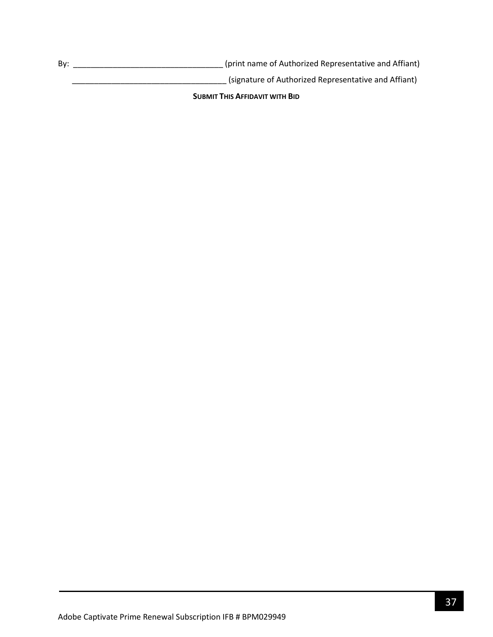By: \_\_\_\_\_\_\_\_\_\_\_\_\_\_\_\_\_\_\_\_\_\_\_\_\_\_\_\_\_\_\_\_\_\_ (print name of Authorized Representative and Affiant)

\_\_\_\_\_\_\_\_\_\_\_\_\_\_\_\_\_\_\_\_\_\_\_\_\_\_\_\_\_\_\_\_\_\_\_ (signature of Authorized Representative and Affiant)

**SUBMIT THIS AFFIDAVIT WITH BID**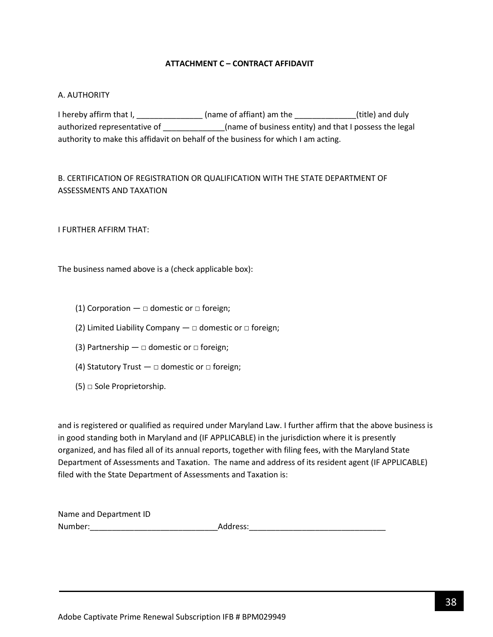#### **ATTACHMENT C – CONTRACT AFFIDAVIT**

#### <span id="page-37-0"></span>A. AUTHORITY

I hereby affirm that I, \_\_\_\_\_\_\_\_\_\_\_\_\_\_\_\_\_(name of affiant) am the \_\_\_\_\_\_\_\_\_\_\_\_\_\_(title) and duly authorized representative of \_\_\_\_\_\_\_\_\_\_\_\_\_\_\_\_(name of business entity) and that I possess the legal authority to make this affidavit on behalf of the business for which I am acting.

## B. CERTIFICATION OF REGISTRATION OR QUALIFICATION WITH THE STATE DEPARTMENT OF ASSESSMENTS AND TAXATION

I FURTHER AFFIRM THAT:

The business named above is a (check applicable box):

- (1) Corporation  $\Box$  domestic or  $\Box$  foreign;
- (2) Limited Liability Company  $-\Box$  domestic or  $\Box$  foreign;
- (3) Partnership  $\Box$  domestic or  $\Box$  foreign;
- (4) Statutory Trust  $\Box$  domestic or  $\Box$  foreign;
- $(5)$   $\Box$  Sole Proprietorship.

and is registered or qualified as required under Maryland Law. I further affirm that the above business is in good standing both in Maryland and (IF APPLICABLE) in the jurisdiction where it is presently organized, and has filed all of its annual reports, together with filing fees, with the Maryland State Department of Assessments and Taxation. The name and address of its resident agent (IF APPLICABLE) filed with the State Department of Assessments and Taxation is:

| Name and Department ID |          |
|------------------------|----------|
| Number:                | Address: |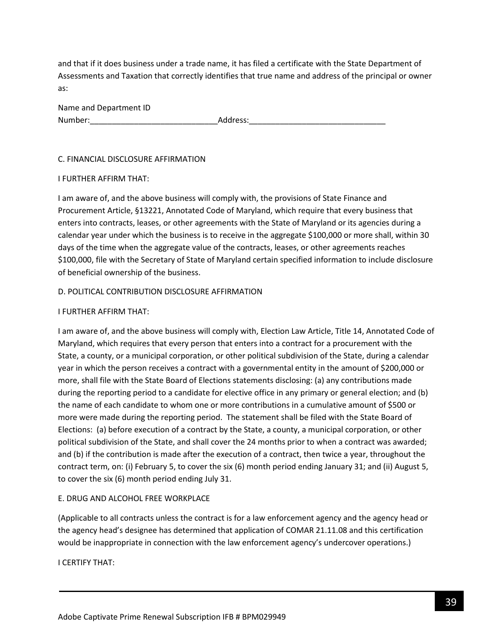and that if it does business under a trade name, it has filed a certificate with the State Department of Assessments and Taxation that correctly identifies that true name and address of the principal or owner as:

| Name and Department ID |          |
|------------------------|----------|
| Number:                | Address: |

#### C. FINANCIAL DISCLOSURE AFFIRMATION

#### I FURTHER AFFIRM THAT:

I am aware of, and the above business will comply with, the provisions of State Finance and Procurement Article, §13221, Annotated Code of Maryland, which require that every business that enters into contracts, leases, or other agreements with the State of Maryland or its agencies during a calendar year under which the business is to receive in the aggregate \$100,000 or more shall, within 30 days of the time when the aggregate value of the contracts, leases, or other agreements reaches \$100,000, file with the Secretary of State of Maryland certain specified information to include disclosure of beneficial ownership of the business.

### D. POLITICAL CONTRIBUTION DISCLOSURE AFFIRMATION

### I FURTHER AFFIRM THAT:

I am aware of, and the above business will comply with, Election Law Article, Title 14, Annotated Code of Maryland, which requires that every person that enters into a contract for a procurement with the State, a county, or a municipal corporation, or other political subdivision of the State, during a calendar year in which the person receives a contract with a governmental entity in the amount of \$200,000 or more, shall file with the State Board of Elections statements disclosing: (a) any contributions made during the reporting period to a candidate for elective office in any primary or general election; and (b) the name of each candidate to whom one or more contributions in a cumulative amount of \$500 or more were made during the reporting period. The statement shall be filed with the State Board of Elections: (a) before execution of a contract by the State, a county, a municipal corporation, or other political subdivision of the State, and shall cover the 24 months prior to when a contract was awarded; and (b) if the contribution is made after the execution of a contract, then twice a year, throughout the contract term, on: (i) February 5, to cover the six (6) month period ending January 31; and (ii) August 5, to cover the six (6) month period ending July 31.

## E. DRUG AND ALCOHOL FREE WORKPLACE

(Applicable to all contracts unless the contract is for a law enforcement agency and the agency head or the agency head's designee has determined that application of COMAR 21.11.08 and this certification would be inappropriate in connection with the law enforcement agency's undercover operations.)

I CERTIFY THAT: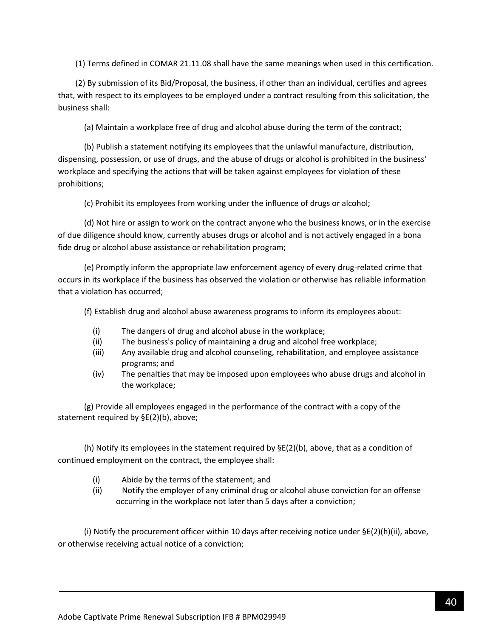(1) Terms defined in COMAR 21.11.08 shall have the same meanings when used in this certification.

(2) By submission of its Bid/Proposal, the business, if other than an individual, certifies and agrees that, with respect to its employees to be employed under a contract resulting from this solicitation, the business shall:

(a) Maintain a workplace free of drug and alcohol abuse during the term of the contract;

(b) Publish a statement notifying its employees that the unlawful manufacture, distribution, dispensing, possession, or use of drugs, and the abuse of drugs or alcohol is prohibited in the business' workplace and specifying the actions that will be taken against employees for violation of these prohibitions;

(c) Prohibit its employees from working under the influence of drugs or alcohol;

(d) Not hire or assign to work on the contract anyone who the business knows, or in the exercise of due diligence should know, currently abuses drugs or alcohol and is not actively engaged in a bona fide drug or alcohol abuse assistance or rehabilitation program;

(e) Promptly inform the appropriate law enforcement agency of every drug-related crime that occurs in its workplace if the business has observed the violation or otherwise has reliable information that a violation has occurred;

(f) Establish drug and alcohol abuse awareness programs to inform its employees about:

- (i) The dangers of drug and alcohol abuse in the workplace;
- (ii) The business's policy of maintaining a drug and alcohol free workplace;
- (iii) Any available drug and alcohol counseling, rehabilitation, and employee assistance programs; and
- (iv) The penalties that may be imposed upon employees who abuse drugs and alcohol in the workplace;

(g) Provide all employees engaged in the performance of the contract with a copy of the statement required by §E(2)(b), above;

(h) Notify its employees in the statement required by  $\Sigma(2)$ (b), above, that as a condition of continued employment on the contract, the employee shall:

- (i) Abide by the terms of the statement; and
- (ii) Notify the employer of any criminal drug or alcohol abuse conviction for an offense occurring in the workplace not later than 5 days after a conviction;

(i) Notify the procurement officer within 10 days after receiving notice under  $\Sigma(2)(h)(ii)$ , above, or otherwise receiving actual notice of a conviction;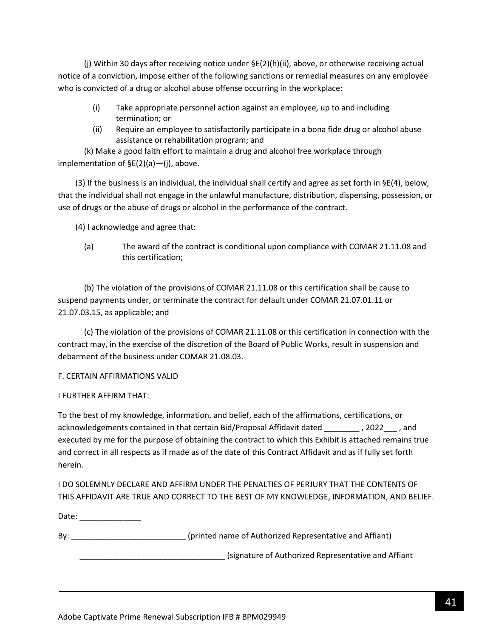(j) Within 30 days after receiving notice under §E(2)(h)(ii), above, or otherwise receiving actual notice of a conviction, impose either of the following sanctions or remedial measures on any employee who is convicted of a drug or alcohol abuse offense occurring in the workplace:

- (i) Take appropriate personnel action against an employee, up to and including termination; or
- (ii) Require an employee to satisfactorily participate in a bona fide drug or alcohol abuse assistance or rehabilitation program; and

(k) Make a good faith effort to maintain a drug and alcohol free workplace through implementation of §E(2)(a)—(j), above.

(3) If the business is an individual, the individual shall certify and agree as set forth in  $\S E(4)$ , below, that the individual shall not engage in the unlawful manufacture, distribution, dispensing, possession, or use of drugs or the abuse of drugs or alcohol in the performance of the contract.

(4) I acknowledge and agree that:

(a) The award of the contract is conditional upon compliance with COMAR 21.11.08 and this certification;

(b) The violation of the provisions of COMAR 21.11.08 or this certification shall be cause to suspend payments under, or terminate the contract for default under COMAR 21.07.01.11 or 21.07.03.15, as applicable; and

(c) The violation of the provisions of COMAR 21.11.08 or this certification in connection with the contract may, in the exercise of the discretion of the Board of Public Works, result in suspension and debarment of the business under COMAR 21.08.03.

## F. CERTAIN AFFIRMATIONS VALID

#### I FURTHER AFFIRM THAT:

To the best of my knowledge, information, and belief, each of the affirmations, certifications, or acknowledgements contained in that certain Bid/Proposal Affidavit dated \_\_\_\_\_\_\_\_ , 2022\_\_\_ , and executed by me for the purpose of obtaining the contract to which this Exhibit is attached remains true and correct in all respects as if made as of the date of this Contract Affidavit and as if fully set forth herein.

I DO SOLEMNLY DECLARE AND AFFIRM UNDER THE PENALTIES OF PERJURY THAT THE CONTENTS OF THIS AFFIDAVIT ARE TRUE AND CORRECT TO THE BEST OF MY KNOWLEDGE, INFORMATION, AND BELIEF.

Date: \_\_\_\_\_\_\_\_\_\_\_\_\_\_\_

By: example and the state of authorized Representative and Affiant)

\_\_\_\_\_\_\_\_\_\_\_\_\_\_\_\_\_\_\_\_\_\_\_\_\_\_\_\_\_\_\_\_\_ (signature of Authorized Representative and Affiant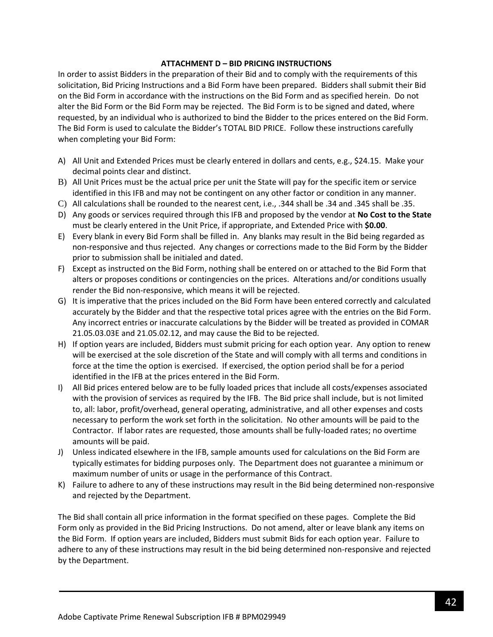#### **ATTACHMENT D – BID PRICING INSTRUCTIONS**

In order to assist Bidders in the preparation of their Bid and to comply with the requirements of this solicitation, Bid Pricing Instructions and a Bid Form have been prepared. Bidders shall submit their Bid on the Bid Form in accordance with the instructions on the Bid Form and as specified herein. Do not alter the Bid Form or the Bid Form may be rejected. The Bid Form is to be signed and dated, where requested, by an individual who is authorized to bind the Bidder to the prices entered on the Bid Form. The Bid Form is used to calculate the Bidder's TOTAL BID PRICE. Follow these instructions carefully when completing your Bid Form:

- A) All Unit and Extended Prices must be clearly entered in dollars and cents, e.g., \$24.15. Make your decimal points clear and distinct.
- B) All Unit Prices must be the actual price per unit the State will pay for the specific item or service identified in this IFB and may not be contingent on any other factor or condition in any manner.
- C) All calculations shall be rounded to the nearest cent, i.e., .344 shall be .34 and .345 shall be .35.
- D) Any goods or services required through this IFB and proposed by the vendor at **No Cost to the State** must be clearly entered in the Unit Price, if appropriate, and Extended Price with **\$0.00**.
- E) Every blank in every Bid Form shall be filled in. Any blanks may result in the Bid being regarded as non-responsive and thus rejected. Any changes or corrections made to the Bid Form by the Bidder prior to submission shall be initialed and dated.
- F) Except as instructed on the Bid Form, nothing shall be entered on or attached to the Bid Form that alters or proposes conditions or contingencies on the prices. Alterations and/or conditions usually render the Bid non-responsive, which means it will be rejected.
- G) It is imperative that the prices included on the Bid Form have been entered correctly and calculated accurately by the Bidder and that the respective total prices agree with the entries on the Bid Form. Any incorrect entries or inaccurate calculations by the Bidder will be treated as provided in COMAR 21.05.03.03E and 21.05.02.12, and may cause the Bid to be rejected.
- H) If option years are included, Bidders must submit pricing for each option year. Any option to renew will be exercised at the sole discretion of the State and will comply with all terms and conditions in force at the time the option is exercised. If exercised, the option period shall be for a period identified in the IFB at the prices entered in the Bid Form.
- I) All Bid prices entered below are to be fully loaded prices that include all costs/expenses associated with the provision of services as required by the IFB. The Bid price shall include, but is not limited to, all: labor, profit/overhead, general operating, administrative, and all other expenses and costs necessary to perform the work set forth in the solicitation. No other amounts will be paid to the Contractor. If labor rates are requested, those amounts shall be fully-loaded rates; no overtime amounts will be paid.
- J) Unless indicated elsewhere in the IFB, sample amounts used for calculations on the Bid Form are typically estimates for bidding purposes only. The Department does not guarantee a minimum or maximum number of units or usage in the performance of this Contract.
- K) Failure to adhere to any of these instructions may result in the Bid being determined non-responsive and rejected by the Department.

The Bid shall contain all price information in the format specified on these pages. Complete the Bid Form only as provided in the Bid Pricing Instructions. Do not amend, alter or leave blank any items on the Bid Form. If option years are included, Bidders must submit Bids for each option year. Failure to adhere to any of these instructions may result in the bid being determined non-responsive and rejected by the Department.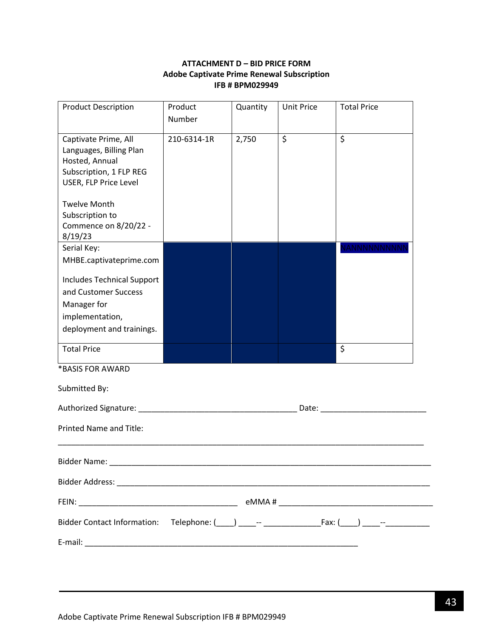## **ATTACHMENT D – BID PRICE FORM Adobe Captivate Prime Renewal Subscription IFB # BPM029949**

<span id="page-42-0"></span>

| <b>Product Description</b>                                                                                            | Product<br>Number | Quantity | <b>Unit Price</b> | <b>Total Price</b>                                                                                                                                                                                                             |
|-----------------------------------------------------------------------------------------------------------------------|-------------------|----------|-------------------|--------------------------------------------------------------------------------------------------------------------------------------------------------------------------------------------------------------------------------|
| Captivate Prime, All<br>Languages, Billing Plan<br>Hosted, Annual<br>Subscription, 1 FLP REG<br>USER, FLP Price Level | 210-6314-1R       | 2,750    | \$                | \$                                                                                                                                                                                                                             |
| <b>Twelve Month</b><br>Subscription to<br>Commence on 8/20/22 -<br>8/19/23                                            |                   |          |                   |                                                                                                                                                                                                                                |
| Serial Key:                                                                                                           |                   |          |                   | <b>JANNNNNNNNN</b>                                                                                                                                                                                                             |
| MHBE.captivateprime.com                                                                                               |                   |          |                   |                                                                                                                                                                                                                                |
| <b>Includes Technical Support</b><br>and Customer Success                                                             |                   |          |                   |                                                                                                                                                                                                                                |
| Manager for                                                                                                           |                   |          |                   |                                                                                                                                                                                                                                |
| implementation,<br>deployment and trainings.                                                                          |                   |          |                   |                                                                                                                                                                                                                                |
|                                                                                                                       |                   |          |                   |                                                                                                                                                                                                                                |
| <b>Total Price</b>                                                                                                    |                   |          |                   | \$                                                                                                                                                                                                                             |
| *BASIS FOR AWARD                                                                                                      |                   |          |                   |                                                                                                                                                                                                                                |
| Submitted By:                                                                                                         |                   |          |                   |                                                                                                                                                                                                                                |
|                                                                                                                       |                   |          |                   | Date: the contract of the contract of the contract of the contract of the contract of the contract of the contract of the contract of the contract of the contract of the contract of the contract of the contract of the cont |
| <b>Printed Name and Title:</b>                                                                                        |                   |          |                   |                                                                                                                                                                                                                                |
|                                                                                                                       |                   |          |                   |                                                                                                                                                                                                                                |
|                                                                                                                       |                   |          |                   |                                                                                                                                                                                                                                |
|                                                                                                                       |                   |          |                   |                                                                                                                                                                                                                                |
|                                                                                                                       |                   |          |                   |                                                                                                                                                                                                                                |
|                                                                                                                       |                   |          |                   |                                                                                                                                                                                                                                |
|                                                                                                                       |                   |          |                   |                                                                                                                                                                                                                                |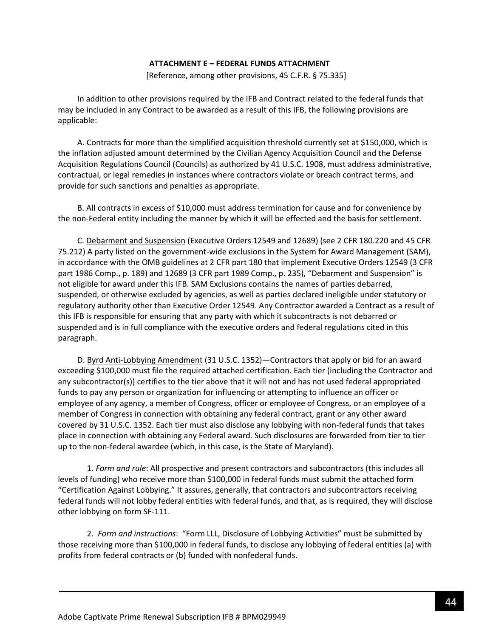#### **ATTACHMENT E – FEDERAL FUNDS ATTACHMENT**

[Reference, among other provisions, 45 C.F.R. § 75.335]

<span id="page-43-0"></span>In addition to other provisions required by the IFB and Contract related to the federal funds that may be included in any Contract to be awarded as a result of this IFB, the following provisions are applicable:

A. Contracts for more than the simplified acquisition threshold currently set at \$150,000, which is the inflation adjusted amount determined by the Civilian Agency Acquisition Council and the Defense Acquisition Regulations Council (Councils) as authorized by 41 U.S.C. 1908, must address administrative, contractual, or legal remedies in instances where contractors violate or breach contract terms, and provide for such sanctions and penalties as appropriate.

B. All contracts in excess of \$10,000 must address termination for cause and for convenience by the non-Federal entity including the manner by which it will be effected and the basis for settlement.

C. Debarment and Suspension (Executive Orders 12549 and 12689) (see 2 CFR 180.220 and 45 CFR 75.212) A party listed on the government-wide exclusions in the System for Award Management (SAM), in accordance with the OMB guidelines at 2 CFR part 180 that implement Executive Orders 12549 (3 CFR part 1986 Comp., p. 189) and 12689 (3 CFR part 1989 Comp., p. 235), "Debarment and Suspension" is not eligible for award under this IFB. SAM Exclusions contains the names of parties debarred, suspended, or otherwise excluded by agencies, as well as parties declared ineligible under statutory or regulatory authority other than Executive Order 12549. Any Contractor awarded a Contract as a result of this IFB is responsible for ensuring that any party with which it subcontracts is not debarred or suspended and is in full compliance with the executive orders and federal regulations cited in this paragraph.

D. Byrd Anti-Lobbying Amendment (31 U.S.C. 1352)—Contractors that apply or bid for an award exceeding \$100,000 must file the required attached certification. Each tier (including the Contractor and any subcontractor(s)) certifies to the tier above that it will not and has not used federal appropriated funds to pay any person or organization for influencing or attempting to influence an officer or employee of any agency, a member of Congress, officer or employee of Congress, or an employee of a member of Congress in connection with obtaining any federal contract, grant or any other award covered by 31 U.S.C. 1352. Each tier must also disclose any lobbying with non-federal funds that takes place in connection with obtaining any Federal award. Such disclosures are forwarded from tier to tier up to the non-federal awardee (which, in this case, is the State of Maryland).

1. *Form and rule*: All prospective and present contractors and subcontractors (this includes all levels of funding) who receive more than \$100,000 in federal funds must submit the attached form "Certification Against Lobbying." It assures, generally, that contractors and subcontractors receiving federal funds will not lobby federal entities with federal funds, and that, as is required, they will disclose other lobbying on form SF-111.

2. *Form and instructions*: "Form LLL, Disclosure of Lobbying Activities" must be submitted by those receiving more than \$100,000 in federal funds, to disclose any lobbying of federal entities (a) with profits from federal contracts or (b) funded with nonfederal funds.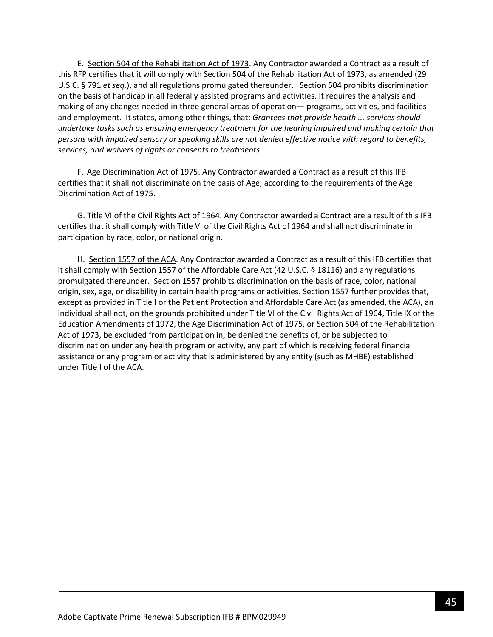E. Section 504 of the Rehabilitation Act of 1973. Any Contractor awarded a Contract as a result of this RFP certifies that it will comply with Section 504 of the Rehabilitation Act of 1973, as amended (29 U.S.C. § 791 *et seq.*), and all regulations promulgated thereunder. Section 504 prohibits discrimination on the basis of handicap in all federally assisted programs and activities. It requires the analysis and making of any changes needed in three general areas of operation— programs, activities, and facilities and employment. It states, among other things, that: *Grantees that provide health ... services should undertake tasks such as ensuring emergency treatment for the hearing impaired and making certain that persons with impaired sensory or speaking skills are not denied effective notice with regard to benefits, services, and waivers of rights or consents to treatments*.

F. Age Discrimination Act of 1975. Any Contractor awarded a Contract as a result of this IFB certifies that it shall not discriminate on the basis of Age, according to the requirements of the Age Discrimination Act of 1975.

G. Title VI of the Civil Rights Act of 1964. Any Contractor awarded a Contract are a result of this IFB certifies that it shall comply with Title VI of the Civil Rights Act of 1964 and shall not discriminate in participation by race, color, or national origin.

H. Section 1557 of the ACA. Any Contractor awarded a Contract as a result of this IFB certifies that it shall comply with Section 1557 of the Affordable Care Act (42 U.S.C. § 18116) and any regulations promulgated thereunder. Section 1557 prohibits discrimination on the basis of race, color, national origin, sex, age, or disability in certain health programs or activities. Section 1557 further provides that, except as provided in Title I or the Patient Protection and Affordable Care Act (as amended, the ACA), an individual shall not, on the grounds prohibited under Title VI of the Civil Rights Act of 1964, Title IX of the Education Amendments of 1972, the Age Discrimination Act of 1975, or Section 504 of the Rehabilitation Act of 1973, be excluded from participation in, be denied the benefits of, or be subjected to discrimination under any health program or activity, any part of which is receiving federal financial assistance or any program or activity that is administered by any entity (such as MHBE) established under Title I of the ACA.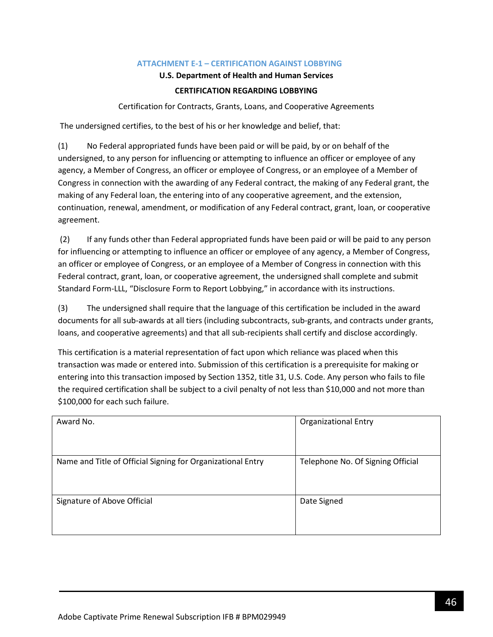### **ATTACHMENT E-1 – CERTIFICATION AGAINST LOBBYING**

#### **U.S. Department of Health and Human Services**

### **CERTIFICATION REGARDING LOBBYING**

Certification for Contracts, Grants, Loans, and Cooperative Agreements

<span id="page-45-0"></span>The undersigned certifies, to the best of his or her knowledge and belief, that:

(1) No Federal appropriated funds have been paid or will be paid, by or on behalf of the undersigned, to any person for influencing or attempting to influence an officer or employee of any agency, a Member of Congress, an officer or employee of Congress, or an employee of a Member of Congress in connection with the awarding of any Federal contract, the making of any Federal grant, the making of any Federal loan, the entering into of any cooperative agreement, and the extension, continuation, renewal, amendment, or modification of any Federal contract, grant, loan, or cooperative agreement.

(2) If any funds other than Federal appropriated funds have been paid or will be paid to any person for influencing or attempting to influence an officer or employee of any agency, a Member of Congress, an officer or employee of Congress, or an employee of a Member of Congress in connection with this Federal contract, grant, loan, or cooperative agreement, the undersigned shall complete and submit Standard Form-LLL, "Disclosure Form to Report Lobbying," in accordance with its instructions.

(3) The undersigned shall require that the language of this certification be included in the award documents for all sub-awards at all tiers (including subcontracts, sub-grants, and contracts under grants, loans, and cooperative agreements) and that all sub-recipients shall certify and disclose accordingly.

This certification is a material representation of fact upon which reliance was placed when this transaction was made or entered into. Submission of this certification is a prerequisite for making or entering into this transaction imposed by Section 1352, title 31, U.S. Code. Any person who fails to file the required certification shall be subject to a civil penalty of not less than \$10,000 and not more than \$100,000 for each such failure.

| Award No.                                                   | <b>Organizational Entry</b>       |
|-------------------------------------------------------------|-----------------------------------|
| Name and Title of Official Signing for Organizational Entry | Telephone No. Of Signing Official |
| Signature of Above Official                                 | Date Signed                       |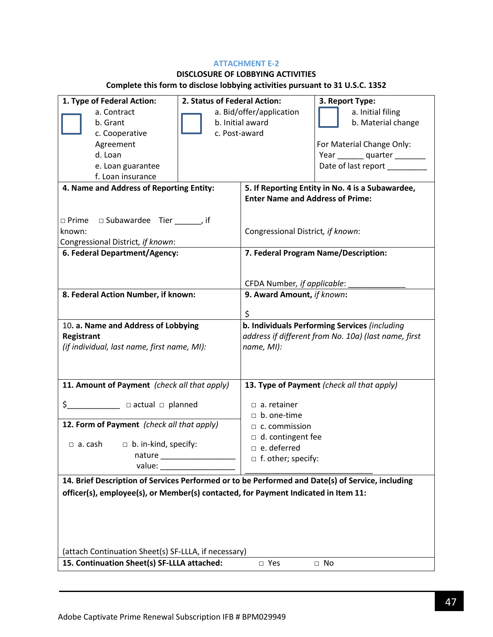### **ATTACHMENT E-2**

# **DISCLOSURE OF LOBBYING ACTIVITIES**

## **Complete this form to disclose lobbying activities pursuant to 31 U.S.C. 1352**

| 1. Type of Federal Action:                                                                                      | 2. Status of Federal Action: |                                                     | 3. Report Type:                                      |
|-----------------------------------------------------------------------------------------------------------------|------------------------------|-----------------------------------------------------|------------------------------------------------------|
| a. Contract                                                                                                     | a. Bid/offer/application     |                                                     | a. Initial filing                                    |
| b. Grant                                                                                                        | b. Initial award             |                                                     | b. Material change                                   |
| c. Cooperative                                                                                                  | c. Post-award                |                                                     |                                                      |
| Agreement                                                                                                       |                              |                                                     | For Material Change Only:                            |
| d. Loan                                                                                                         |                              |                                                     | Year ________ quarter ________                       |
| e. Loan guarantee                                                                                               |                              |                                                     | Date of last report _________                        |
| f. Loan insurance                                                                                               |                              |                                                     |                                                      |
| 4. Name and Address of Reporting Entity:                                                                        |                              | 5. If Reporting Entity in No. 4 is a Subawardee,    |                                                      |
|                                                                                                                 |                              | <b>Enter Name and Address of Prime:</b>             |                                                      |
|                                                                                                                 |                              |                                                     |                                                      |
| $\Box$ Prime $\Box$ Subawardee Tier ______, if                                                                  |                              |                                                     |                                                      |
| known:                                                                                                          |                              | Congressional District, if known:                   |                                                      |
| Congressional District, if known:<br>6. Federal Department/Agency:                                              |                              |                                                     | 7. Federal Program Name/Description:                 |
|                                                                                                                 |                              |                                                     |                                                      |
|                                                                                                                 |                              |                                                     |                                                      |
|                                                                                                                 |                              | CFDA Number, if applicable:                         |                                                      |
| 8. Federal Action Number, if known:                                                                             |                              | 9. Award Amount, if known:                          |                                                      |
|                                                                                                                 |                              |                                                     |                                                      |
|                                                                                                                 |                              | \$<br>b. Individuals Performing Services (including |                                                      |
| 10. a. Name and Address of Lobbying                                                                             |                              |                                                     |                                                      |
| Registrant                                                                                                      |                              |                                                     | address if different from No. 10a) (last name, first |
| (if individual, last name, first name, MI):                                                                     |                              | name, MI):                                          |                                                      |
|                                                                                                                 |                              |                                                     |                                                      |
|                                                                                                                 |                              |                                                     |                                                      |
| 11. Amount of Payment (check all that apply)                                                                    |                              |                                                     | 13. Type of Payment (check all that apply)           |
| $\zeta$ $\Box$ $\Box$ $\Box$ actual $\Box$ planned                                                              |                              | $\Box$ a. retainer                                  |                                                      |
|                                                                                                                 |                              | $\Box$ b. one-time                                  |                                                      |
| 12. Form of Payment (check all that apply)                                                                      |                              | $\Box$ c. commission                                |                                                      |
|                                                                                                                 |                              | d. contingent fee                                   |                                                      |
| $\Box$ b. in-kind, specify:<br>$\Box$ a. cash                                                                   |                              | $\Box$ e. deferred                                  |                                                      |
| nature                                                                                                          |                              | $\Box$ f. other; specify:                           |                                                      |
| value: and the state of the state of the state of the state of the state of the state of the state of the state |                              |                                                     |                                                      |
| 14. Brief Description of Services Performed or to be Performed and Date(s) of Service, including                |                              |                                                     |                                                      |
| officer(s), employee(s), or Member(s) contacted, for Payment Indicated in Item 11:                              |                              |                                                     |                                                      |
|                                                                                                                 |                              |                                                     |                                                      |
|                                                                                                                 |                              |                                                     |                                                      |
|                                                                                                                 |                              |                                                     |                                                      |
|                                                                                                                 |                              |                                                     |                                                      |
| (attach Continuation Sheet(s) SF-LLLA, if necessary)                                                            |                              |                                                     |                                                      |
| 15. Continuation Sheet(s) SF-LLLA attached:                                                                     |                              | $\Box$ Yes                                          | $\Box$ No                                            |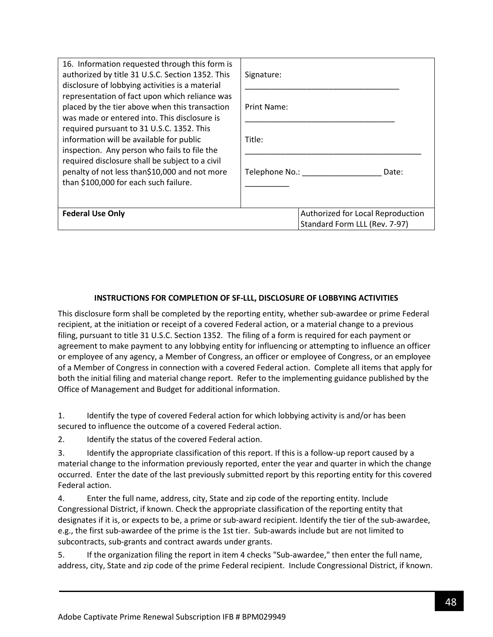| 16. Information requested through this form is<br>authorized by title 31 U.S.C. Section 1352. This<br>disclosure of lobbying activities is a material                                                                                                                                                                                                                                                                                  | Signature:                                                         |  |  |
|----------------------------------------------------------------------------------------------------------------------------------------------------------------------------------------------------------------------------------------------------------------------------------------------------------------------------------------------------------------------------------------------------------------------------------------|--------------------------------------------------------------------|--|--|
| representation of fact upon which reliance was<br>placed by the tier above when this transaction<br>was made or entered into. This disclosure is<br>required pursuant to 31 U.S.C. 1352. This<br>information will be available for public<br>inspection. Any person who fails to file the<br>required disclosure shall be subject to a civil<br>penalty of not less than\$10,000 and not more<br>than \$100,000 for each such failure. | Print Name:                                                        |  |  |
|                                                                                                                                                                                                                                                                                                                                                                                                                                        | Title:                                                             |  |  |
|                                                                                                                                                                                                                                                                                                                                                                                                                                        | Telephone No.:<br>Date:                                            |  |  |
| <b>Federal Use Only</b>                                                                                                                                                                                                                                                                                                                                                                                                                | Authorized for Local Reproduction<br>Standard Form LLL (Rev. 7-97) |  |  |

### **INSTRUCTIONS FOR COMPLETION OF SF-LLL, DISCLOSURE OF LOBBYING ACTIVITIES**

This disclosure form shall be completed by the reporting entity, whether sub-awardee or prime Federal recipient, at the initiation or receipt of a covered Federal action, or a material change to a previous filing, pursuant to title 31 U.S.C. Section 1352. The filing of a form is required for each payment or agreement to make payment to any lobbying entity for influencing or attempting to influence an officer or employee of any agency, a Member of Congress, an officer or employee of Congress, or an employee of a Member of Congress in connection with a covered Federal action. Complete all items that apply for both the initial filing and material change report. Refer to the implementing guidance published by the Office of Management and Budget for additional information.

1. Identify the type of covered Federal action for which lobbying activity is and/or has been secured to influence the outcome of a covered Federal action.

2. Identify the status of the covered Federal action.

3. Identify the appropriate classification of this report. If this is a follow-up report caused by a material change to the information previously reported, enter the year and quarter in which the change occurred. Enter the date of the last previously submitted report by this reporting entity for this covered Federal action.

4. Enter the full name, address, city, State and zip code of the reporting entity. Include Congressional District, if known. Check the appropriate classification of the reporting entity that designates if it is, or expects to be, a prime or sub-award recipient. Identify the tier of the sub-awardee, e.g., the first sub-awardee of the prime is the 1st tier. Sub-awards include but are not limited to subcontracts, sub-grants and contract awards under grants.

5. If the organization filing the report in item 4 checks "Sub-awardee," then enter the full name, address, city, State and zip code of the prime Federal recipient. Include Congressional District, if known.